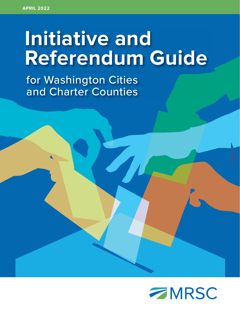# **Initiative and Referendum Guide**

 for Washington Cities and Charter Counties

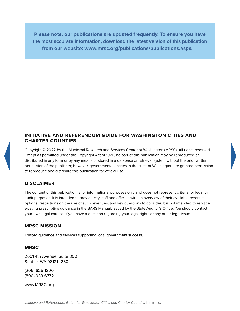**Please note, our publications are updated frequently. To ensure you have the most accurate information, download the latest version of this publication from our website: www.mrsc.org/publications/publications.aspx.**

## **INITIATIVE AND REFERENDUM GUIDE FOR WASHINGTON CITIES AND CHARTER COUNTIES**

Copyright © 2022 by the Municipal Research and Services Center of Washington (MRSC). All rights reserved. Except as permitted under the Copyright Act of 1976, no part of this publication may be reproduced or distributed in any form or by any means or stored in a database or retrieval system without the prior written permission of the publisher; however, governmental entities in the state of Washington are granted permission to reproduce and distribute this publication for official use.

# **DISCLAIMER**

The content of this publication is for informational purposes only and does not represent criteria for legal or audit purposes. It is intended to provide city staff and officials with an overview of their available revenue options, restrictions on the use of such revenues, and key questions to consider. It is not intended to replace existing prescriptive guidance in the BARS Manual, issued by the State Auditor's Office. You should contact your own legal counsel if you have a question regarding your legal rights or any other legal issue.

# **MRSC MISSION**

Trusted guidance and services supporting local government success.

# **MRSC**

2601 4th Avenue, Suite 800 Seattle, WA 98121-1280

(206) 625-1300 (800) 933-6772

www.MRSC.org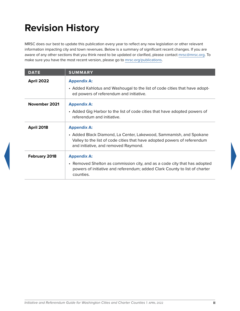# **Revision History**

MRSC does our best to update this publication every year to reflect any new legislation or other relevant information impacting city and town revenues. Below is a summary of significant recent changes. If you are aware of any other sections that you think need to be updated or clarified, please contact [mrsc@mrsc.org](mailto:mrsc%40mrsc.org?subject=City%20Revenue%20Guide). To make sure you have the most recent version, please go to [mrsc.org/publications.](http://mrsc.org/publications)

| <b>DATE</b>       | <b>SUMMARY</b>                                                                                                                                                                                               |
|-------------------|--------------------------------------------------------------------------------------------------------------------------------------------------------------------------------------------------------------|
| April 2022        | <b>Appendix A:</b><br>• Added Kahlotus and Washougal to the list of code cities that have adopt-<br>ed powers of referendum and initiative.                                                                  |
| November 2021     | <b>Appendix A:</b><br>• Added Gig Harbor to the list of code cities that have adopted powers of<br>referendum and initiative.                                                                                |
| <b>April 2018</b> | <b>Appendix A:</b><br>• Added Black Diamond, La Center, Lakewood, Sammamish, and Spokane<br>Valley to the list of code cities that have adopted powers of referendum<br>and initiative, and removed Raymond. |
| February 2018     | <b>Appendix A:</b><br>• Removed Shelton as commission city, and as a code city that has adopted<br>powers of initiative and referendum; added Clark County to list of charter<br>counties.                   |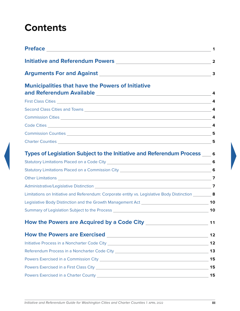# <span id="page-3-0"></span>**Contents**

| Preface <b>Exercise Service Service Service Service</b> Service Service Service Service Service Service Service Service | 1              |
|-------------------------------------------------------------------------------------------------------------------------|----------------|
|                                                                                                                         |                |
|                                                                                                                         | 3              |
| <b>Municipalities that have the Powers of Initiative</b>                                                                |                |
|                                                                                                                         | $\overline{a}$ |
|                                                                                                                         |                |
|                                                                                                                         | $\overline{a}$ |
|                                                                                                                         |                |
|                                                                                                                         |                |
|                                                                                                                         |                |
| Types of Legislation Subject to the Initiative and Referendum Process ____ 6                                            |                |
| Statutory Limitations Placed on a Code City [2012] [2012] [2012] [2012] [2012] [2012] [2012] [2012] [2012] [20          | 6              |
|                                                                                                                         |                |
|                                                                                                                         |                |
| Administrative/Legislative Distinction Communication Communication Communication Communication Communication            | $\overline{7}$ |
| Limitations on Initiative and Referendum: Corporate entity vs. Legislative Body Distinction ________ 8                  |                |
|                                                                                                                         |                |
|                                                                                                                         | 10             |
|                                                                                                                         | $11$           |
|                                                                                                                         | 12             |
|                                                                                                                         | 12             |
| Referendum Process in a Noncharter Code City ___________________________________                                        | 13             |
|                                                                                                                         | 15             |
|                                                                                                                         | 15             |
| Powers Exercised in a Charter County [19] [2010] [2010] [2010] [2010] [2010] [2010] [2010] [2010] [2010] [2010          | 15             |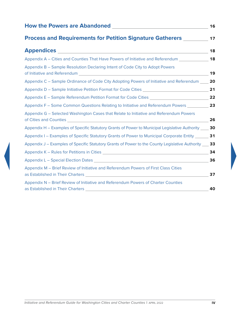| How the Powers are Abandoned <b>Fig. 2018</b>                                                                                                                                                                 | 16 |
|---------------------------------------------------------------------------------------------------------------------------------------------------------------------------------------------------------------|----|
| <b>Process and Requirements for Petition Signature Gatherers</b>                                                                                                                                              | 17 |
| <b>Appendices Appendices Appendices</b>                                                                                                                                                                       | 18 |
| Appendix A – Cities and Counties That Have Powers of Initiative and Referendum                                                                                                                                | 18 |
| Appendix B - Sample Resolution Declaring Intent of Code City to Adopt Powers<br>of Initiative and Referendum and the state of the state of the state of the state of the state of the state of                | 19 |
| Appendix C – Sample Ordinance of Code City Adopting Powers of Initiative and Referendum                                                                                                                       | 20 |
| Appendix D – Sample Initiative Petition Format for Code Cities __________________                                                                                                                             | 21 |
| Appendix E – Sample Referendum Petition Format for Code Cities                                                                                                                                                | 22 |
| Appendix F – Some Common Questions Relating to Initiative and Referendum Powers                                                                                                                               | 23 |
| Appendix G - Selected Washington Cases that Relate to Initiative and Referendum Powers                                                                                                                        | 26 |
| Appendix H – Examples of Specific Statutory Grants of Power to Municipal Legislative Authority                                                                                                                | 30 |
| Appendix I - Examples of Specific Statutory Grants of Power to Municipal Corporate Entity ___                                                                                                                 | 31 |
| Appendix J – Examples of Specific Statutory Grants of Power to the County Legislative Authority ___                                                                                                           | 33 |
|                                                                                                                                                                                                               | 34 |
|                                                                                                                                                                                                               | 36 |
| Appendix M - Brief Review of Initiative and Referendum Powers of First Class Cities<br>as Established in Their Charters <b>Exercía and Established in Their Charters</b> and Theory and Theory and Theory and | 37 |
| Appendix N - Brief Review of Initiative and Referendum Powers of Charter Counties                                                                                                                             | 40 |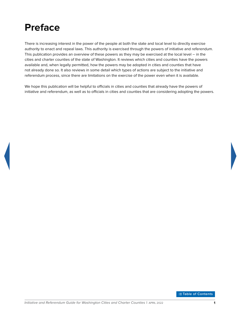# <span id="page-5-0"></span>**Preface**

There is increasing interest in the power of the people at both the state and local level to directly exercise authority to enact and repeal laws. This authority is exercised through the powers of initiative and referendum. This publication provides an overview of these powers as they may be exercised at the local level – in the cities and charter counties of the state of Washington. It reviews which cities and counties have the powers available and, when legally permitted, how the powers may be adopted in cities and counties that have not already done so. It also reviews in some detail which types of actions are subject to the initiative and referendum process, since there are limitations on the exercise of the power even when it is available.

We hope this publication will be helpful to officials in cities and counties that already have the powers of initiative and referendum, as well as to officials in cities and counties that are considering adopting the powers.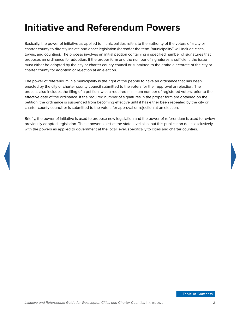# <span id="page-6-0"></span>**Initiative and Referendum Powers**

Basically, the power of initiative as applied to municipalities refers to the authority of the voters of a city or charter county to directly initiate and enact legislation (hereafter the term "municipality" will include cities, towns, and counties). The process involves an initial petition containing a specified number of signatures that proposes an ordinance for adoption. If the proper form and the number of signatures is sufficient, the issue must either be adopted by the city or charter county council or submitted to the entire electorate of the city or charter county for adoption or rejection at an election.

The power of referendum in a municipality is the right of the people to have an ordinance that has been enacted by the city or charter county council submitted to the voters for their approval or rejection. The process also includes the filing of a petition, with a required minimum number of registered voters, prior to the effective date of the ordinance. If the required number of signatures in the proper form are obtained on the petition, the ordinance is suspended from becoming effective until it has either been repealed by the city or charter county council or is submitted to the voters for approval or rejection at an election.

Briefly, the power of initiative is used to propose new legislation and the power of referendum is used to review previously adopted legislation. These powers exist at the state level also, but this publication deals exclusively with the powers as applied to government at the local level, specifically to cities and charter counties.

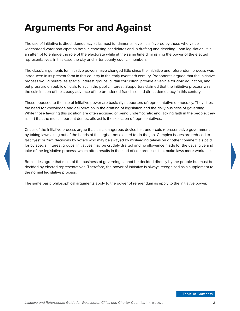# <span id="page-7-0"></span>**Arguments For and Against**

The use of initiative is direct democracy at its most fundamental level. It is favored by those who value widespread voter participation both in choosing candidates and in drafting and deciding upon legislation. It is an attempt to enlarge the role of the electorate while at the same time diminishing the power of the elected representatives, in this case the city or charter county council-members.

The classic arguments for initiative powers have changed little since the initiative and referendum process was introduced in its present form in this country in the early twentieth century. Proponents argued that the initiative process would neutralize special interest groups, curtail corruption, provide a vehicle for civic education, and put pressure on public officials to act in the public interest. Supporters claimed that the initiative process was the culmination of the steady advance of the broadened franchise and direct democracy in this century.

Those opposed to the use of initiative power are basically supporters of representative democracy. They stress the need for knowledge and deliberation in the drafting of legislation and the daily business of governing. While those favoring this position are often accused of being undemocratic and lacking faith in the people, they assert that the most important democratic act is the selection of representatives.

Critics of the initiative process argue that it is a dangerous device that undercuts representative government by taking lawmaking out of the hands of the legislators elected to do the job. Complex issues are reduced to fast "yes" or "no" decisions by voters who may be swayed by misleading television or other commercials paid for by special interest groups. Initiatives may be crudely drafted and no allowance made for the usual give and take of the legislative process, which often results in the kind of compromises that make laws more workable.

Both sides agree that most of the business of governing cannot be decided directly by the people but must be decided by elected representatives. Therefore, the power of initiative is always recognized as a supplement to the normal legislative process.

The same basic philosophical arguments apply to the power of referendum as apply to the initiative power.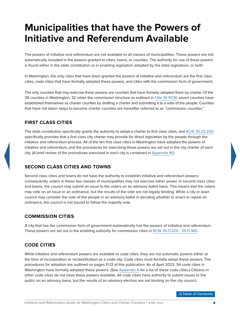# <span id="page-8-0"></span>**Municipalities that have the Powers of Initiative and Referendum Available**

The powers of initiative and referendum are not available to all classes of municipalities. These powers are not automatically included in the powers granted to cities, towns, or counties. The authority for use of these powers is found either in the state constitution or in enabling legislation adopted by the state legislature, or both.

In Washington, the only cities that have been granted the powers of initiative and referendum are the first class cities, code cities that have formally adopted these powers, and cities with the commission form of government.

The only counties that may exercise these powers are counties that have formally adopted them by charter. Of the 39 counties in Washington, 32 retain the commission structure as outlined in [Title 36 RCW](https://apps.leg.wa.gov/rcw/default.aspx?Cite=36); seven counties have established themselves as charter counties by drafting a charter and submitting it to a vote of the people. Counties that have not taken steps to become charter counties are hereafter referred to as "commission counties."

# **FIRST CLASS CITIES**

The state constitution specifically grants the authority to adopt a charter to first class cities, and [RCW](https://apps.leg.wa.gov/rcw/default.aspx?Cite=35.22.200) [35.22.200](http://apps.leg.wa.gov/rcw/default.aspx?Cite=35.22.200) specifically provides that a first class city charter may provide for direct legislation by the people through the initiative and referendum process. All of the ten first class cities in Washington have adopted the powers of initiative and referendum, and the procedures for exercising these powers are set out in the city charter of each city. (A brief review of the procedures exercised in each city is contained in [Appendix M](#page-41-1).)

### **SECOND CLASS CITIES AND TOWNS**

Second class cities and towns do not have the authority to establish initiative and referendum powers; consequently, voters in these two classes of municipalities may not exercise either power. In second class cities and towns, the council may submit an issue to the voters on an advisory ballot basis. This means that the voters may vote on an issue or an ordinance, but the results of the vote are not legally binding. While a city or town council may consider the vote of the people in an advisory ballot in deciding whether to enact or repeal an ordinance, the council is not bound to follow the majority vote.

### **COMMISSION CITIES**

A city that has the commission form of government automatically has the powers of initiative and referendum. These powers are set out in the enabling authority for commission cities in [RCW 35.17.220 - 35.17.360](https://apps.leg.wa.gov/rcw/default.aspx?cite=35.17&full=true#35.17.220).

# **CODE CITIES**

While initiative and referendum powers are available to code cities, they are not automatic powers either at the time of incorporation or reclassification as a code city. Code cities must formally adopt these powers. The procedures for adoption are outlined on pages 11-12 of this publication. As of April 2022, 54 code cities in Washington have formally adopted these powers. (See [Appendix A](#page-22-0) for a list of these code cities.) Citizens in other code cities do not have these powers available. All code cities have authority to submit issues to the public on an advisory basis, but the results of an advisory election are not binding on the city council.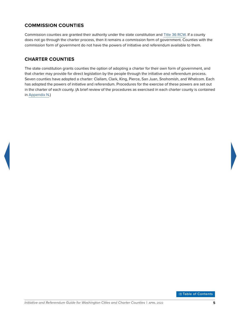# <span id="page-9-0"></span>**COMMISSION COUNTIES**

Commission counties are granted their authority under the state constitution and [Title 36 RCW.](https://apps.leg.wa.gov/rcw/default.aspx?Cite=36) If a county does not go through the charter process, then it remains a commission form of government. Counties with the commission form of government do not have the powers of initiative and referendum available to them.

# **CHARTER COUNTIES**

The state constitution grants counties the option of adopting a charter for their own form of government, and that charter may provide for direct legislation by the people through the initiative and referendum process. Seven counties have adopted a charter: Clallam, Clark, King, Pierce, San Juan, Snohomish, and Whatcom. Each has adopted the powers of initiative and referendum. Procedures for the exercise of these powers are set out in the charter of each county. (A brief review of the procedures as exercised in each charter county is contained in [Appendix N](#page-44-1).)

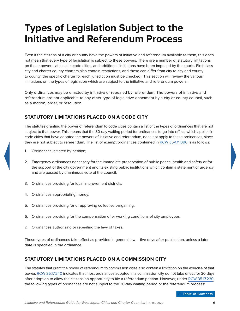# <span id="page-10-0"></span>**Types of Legislation Subject to the Initiative and Referendum Process**

Even if the citizens of a city or county have the powers of initiative and referendum available to them, this does not mean that every type of legislation is subject to these powers. There are a number of statutory limitations on these powers, at least in code cities, and additional limitations have been imposed by the courts. First class city and charter county charters also contain restrictions, and these can differ from city to city and county to county (the specific charter for each jurisdiction must be checked). This section will review the various limitations on the types of legislation which are subject to the initiative and referendum powers.

Only ordinances may be enacted by initiative or repealed by referendum. The powers of initiative and referendum are not applicable to any other type of legislative enactment by a city or county council, such as a motion, order, or resolution.

# **STATUTORY LIMITATIONS PLACED ON A CODE CITY**

The statutes granting the power of referendum to code cities contain a list of the types of ordinances that are not subject to that power. This means that the 30-day waiting period for ordinances to go into effect, which applies in code cities that have adopted the powers of initiative and referendum, does not apply to these ordinances, since they are not subject to referendum. The list of exempt ordinances contained in [RCW](https://apps.leg.wa.gov/rcw/default.aspx?Cite=35A.11.090) [35A.11.090](http://apps.leg.wa.gov/rcw/default.aspx?Cite=35A.11.090) is as follows:

- 1. Ordinances initiated by petition;
- 2. Emergency ordinances necessary for the immediate preservation of public peace, health and safety or for the support of the city government and its existing public institutions which contain a statement of urgency and are passed by unanimous vote of the council;
- 3. Ordinances providing for local improvement districts;
- 4. Ordinances appropriating money;
- 5. Ordinances providing for or approving collective bargaining;
- 6. Ordinances providing for the compensation of or working conditions of city employees;
- 7. Ordinances authorizing or repealing the levy of taxes.

These types of ordinances take effect as provided in general law – five days after publication, unless a later date is specified in the ordinance.

# **STATUTORY LIMITATIONS PLACED ON A COMMISSION CITY**

The statutes that grant the power of referendum to commission cities also contain a limitation on the exercise of that power. [RCW](https://apps.leg.wa.gov/rcw/default.aspx?Cite=35.17.240) [35.17.240](http://apps.leg.wa.gov/rcw/default.aspx?Cite=35.17.240) indicates that most ordinances adopted in a commission city do not take effect for 30 days after adoption to allow the citizens an opportunity to file a referendum petition. However, under [RCW](https://apps.leg.wa.gov/rcw/default.aspx?Cite=35.17.230) [35.17.230,](http://apps.leg.wa.gov/rcw/default.aspx?Cite=35.17.230) the following types of ordinances are not subject to the 30-day waiting period or the referendum process: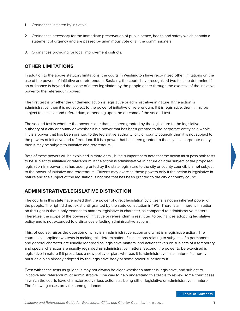- <span id="page-11-0"></span>1. Ordinances initiated by initiative;
- 2. Ordinances necessary for the immediate preservation of public peace, health and safety which contain a statement of urgency and are passed by unanimous vote of all the commissioners;
- 3. Ordinances providing for local improvement districts.

# **OTHER LIMITATIONS**

In addition to the above statutory limitations, the courts in Washington have recognized other limitations on the use of the powers of initiative and referendum. Basically, the courts have recognized two tests to determine if an ordinance is beyond the scope of direct legislation by the people either through the exercise of the initiative power or the referendum power.

The first test is whether the underlying action is legislative or administrative in nature. If the action is administrative, then it is not subject to the power of initiative or referendum. If it is legislative, then it may be subject to initiative and referendum, depending upon the outcome of the second test.

The second test is whether the power is one that has been granted by the legislature to the legislative authority of a city or county or whether it is a power that has been granted to the corporate entity as a whole. If it is a power that has been granted to the legislative authority (city or county council), then it is not subject to the powers of initiative and referendum. If it is a power that has been granted to the city as a corporate entity, then it may be subject to initiative and referendum.

Both of these powers will be explained in more detail, but it is important to note that the action must pass both tests to be subject to initiative or referendum. If the action is administrative in nature or if the subject of the proposed legislation is a power that has been granted by the state legislature to the city or county council, it is **not** subject to the power of initiative and referendum. Citizens may exercise these powers only if the action is legislative in nature and the subject of the legislation is not one that has been granted to the city or county council.

# **ADMINISTRATIVE/LEGISLATIVE DISTINCTION**

The courts in this state have noted that the power of direct legislation by citizens is not an inherent power of the people. The right did not exist until granted by the state constitution in 1912. There is an inherent limitation on this right in that it only extends to matters legislative in character, as compared to administrative matters. Therefore, the scope of the powers of initiative or referendum is restricted to ordinances adopting legislative policy and is not extended to ordinances effecting administrative actions.

This, of course, raises the question of what is an administrative action and what is a legislative action. The courts have applied two tests in making this determination. First, actions relating to subjects of a permanent and general character are usually regarded as legislative matters, and actions taken on subjects of a temporary and special character are usually regarded as administrative matters. Second, the power to be exercised is legislative in nature if it prescribes a new policy or plan, whereas it is administrative in its nature if it merely pursues a plan already adopted by the legislative body or some power superior to it.

Even with these tests as guides, it may not always be clear whether a matter is legislative, and subject to initiative and referendum, or administrative. One way to help understand this test is to review some court cases in which the courts have characterized various actions as being either legislative or administrative in nature. The following cases provide some guidance: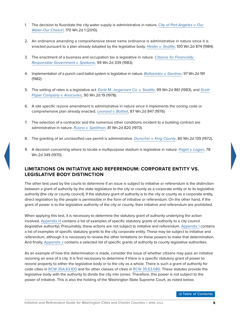- <span id="page-12-0"></span>1. The decision to fluoridate the city water supply is administrative in nature. *[City of Port Angeles v. Our](http://courts.mrsc.org/mc/courts/zsupreme/170wn2d/170wn2d0001.htm)  [Water-Our Choice!](http://courts.mrsc.org/mc/courts/zsupreme/170wn2d/170wn2d0001.htm)*, 170 Wn.2d 1 (2010).
- 2. An ordinance amending a comprehensive street name ordinance is administrative in nature since it is enacted pursuant to a plan already adopted by the legislative body. *[Heider v. Seattle](http://courts.mrsc.org/mc/courts/zsupreme/100wn2d/100wn2d0874.htm)*, 100 Wn.2d 874 (1984).
- 3. The enactment of a business and occupation tax is legislative in nature. *[Citizens for Financially](http://courts.mrsc.org/supreme/099wn2d/099wn2d0339.htm)  [Responsible Government v. Spokane](http://courts.mrsc.org/supreme/099wn2d/099wn2d0339.htm)*, 99 Wn.2d 339 (1983).
- 4. Implementation of a punch card ballot system is legislative in nature. *[Ballasiotes v. Gardner](http://courts.mrsc.org/supreme/097wn2d/097wn2d0191.htm)*, 97 Wn.2d 191 (1982).
- 5. The setting of rates is a legislative act. *[Earle M. Jorgensen Co. v. Seattle](http://courts.mrsc.org/mc/courts/zsupreme/099wn2d/099wn2d0861.htm)*, 99 Wn.2d 861 (1983), and *[Scott](http://courts.mrsc.org/mc/courts/zsupreme/090wn2d/090wn2d0019.htm)  [Paper Company v. Anacortes](http://courts.mrsc.org/mc/courts/zsupreme/090wn2d/090wn2d0019.htm)*, 90 Wn.2d 19 (1978).
- 6. A site specific rezone amendment is administrative in nature since it implements the zoning code or comprehensive plan already enacted. *[Leonard v. Bothell](http://courts.mrsc.org/mc/courts/zsupreme/087wn2d/087wn2d0847.htm)*, 87 Wn.2d 847 (1976)
- 7. The selection of a contractor and the numerous other conditions incident to a building contract are administrative in nature. *[Ruano v. Spellman](http://courts.mrsc.org/mc/courts/zsupreme/081wn2d/081wn2d0820.htm)*, 81 Wn.2d 820 (1973).
- 8. The granting of an unclassified use permit is administrative. *[Durocher v. King County](http://courts.mrsc.org/mc/courts/zsupreme/080wn2d/080wn2d0139.htm)*, 80 Wn.2d 139 (1972).
- 9. A decision concerning where to locate a multipurpose stadium is legislative in nature. *[Paget v. Logan](http://courts.mrsc.org/mc/courts/zsupreme/078wn2d/078wn2d0349.htm)*, 78 Wn.2d 349 (1970).

### **LIMITATIONS ON INITIATIVE AND REFERENDUM: CORPORATE ENTITY VS. LEGISLATIVE BODY DISTINCTION**

The other test used by the courts to determine if an issue is subject to initiative or referendum is the distinction between a grant of authority by the state legislature to the city or county as a corporate entity or to its legislative authority (the city or county council). If the statutory grant of authority is to the city or county as a corporate entity, direct legislation by the people is permissible in the form of initiative or referendum. On the other hand, if the grant of power is to the legislative authority of the city or county, then initiative and referendum are prohibited.

When applying this test, it is necessary to determine the statutory grant of authority underlying the action involved. [Appendix H](#page-34-1) contains a list of examples of specific statutory grants of authority to a city council (legislative authority). Presumably, these actions are not subject to initiative and referendum. [Appendix I](#page-35-1) contains a list of examples of specific statutory grants to the city corporate entity. These may be subject to initiative and referendum, although it is necessary to review the other limitations on these powers to make that determination. And finally, [Appendix J](#page-37-1) contains a selected list of specific grants of authority to county legislative authorities.

As an example of how this determination is made, consider the issue of whether citizens may pass an initiative rezoning an area of a city. It is first necessary to determine if there is a specific statutory grant of power to rezone property to either the legislative body or to the city as a whole. There is such a grant of authority for code cities in [RCW](https://apps.leg.wa.gov/rcw/default.aspx?Cite=35A.63.100) [35A.63.100](http://apps.leg.wa.gov/rcw/default.aspx?Cite=35A.63.100) and for other classes of cities in [RCW](https://apps.leg.wa.gov/rcw/default.aspx?Cite=35.63.080) [35.63.080](http://apps.leg.wa.gov/rcw/default.aspx?Cite=35.63.080). These statutes provide the legislative body with the authority to divide the city into zones. Therefore, this power is not subject to the power of initiative. This is also the holding of the Washington State Supreme Court, as noted below.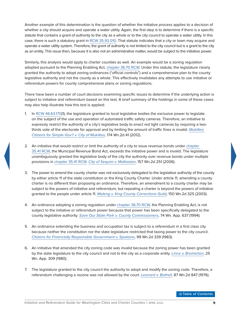Another example of this determination is the question of whether the initiative process applies to a decision of whether a city should acquire and operate a water utility. Again, the first step is to determine if there is a specific statute that contains a grant of authority to the city as a whole or to the city council to operate a water utility. In this case, there is such a statutory grant in [RCW](https://apps.leg.wa.gov/rcw/default.aspx?Cite=35.92.010) [35.92.010](http://apps.leg.wa.gov/rcw/default.aspx?Cite=35.92.010). That statute indicates that a city or town may acquire and operate a water utility system. Therefore, the grant of authority is not limited to the city council but is a grant to the city as an entity. This issue then, because it is also not an administrative matter, would be subject to the initiative power.

Similarly, this analysis would apply to charter counties as well. An example would be a zoning regulation adopted pursuant to the Planning Enabling Act, [chapter](https://apps.leg.wa.gov/rcw/default.aspx?Cite=36.70) [36.70](http://apps.leg.wa.gov/rcw/default.aspx?Cite=36.70) [RCW.](https://apps.leg.wa.gov/rcw/default.aspx?Cite=36.70) Under this statute, the legislature clearly granted the authority to adopt zoning ordinances ("official controls") and a comprehensive plan to the county legislative authority and not the county as a whole. This effectively invalidates any attempts to use initiative or referendum powers for county comprehensive plans or zoning regulations.

There have been a number of court decisions examining specific issues to determine if the underlying action is subject to initiative and referendum based on this test. A brief summary of the holdings in some of these cases may also help illustrate how this test is applied:

- 1. In [RCW](https://apps.leg.wa.gov/rcw/default.aspx?Cite=46.63.170) [46.63.170\(](http://apps.leg.wa.gov/rcw/default.aspx?Cite=46.63.170)1), the legislature granted to local legislative bodies the exclusive power to legislate on the subject of the use and operation of automated traffic safety cameras. Therefore, an initiative to expressly restrict the authority of a city's legislative body to enact red light cameras by requiring a twothirds vote of the electorate for approval and by limiting the amount of traffic fines is invalid. *[Mukilteo](http://courts.mrsc.org/mc/courts/zsupreme/174wn2d/174wn2d0041.htm)  [Citizens for Simple Gov't v. City of Mukilteo](http://courts.mrsc.org/mc/courts/zsupreme/174wn2d/174wn2d0041.htm)*, 174 Wn.2d 41 (2012).
- 2. An initiative that would restrict or limit the authority of a city to issue revenue bonds under [chapter](https://apps.leg.wa.gov/rcw/default.aspx?Cite=35.41)  [35.41](http://apps.leg.wa.gov/rcw/default.aspx?Cite=35.41) [RCW](https://apps.leg.wa.gov/rcw/default.aspx?Cite=35.41), the Municipal Revenue Bond Act, exceeds the initiative power and is invalid. The legislature unambiguously granted the legislative body of the city the authority over revenue bonds under multiple provisions in [chapter](https://apps.leg.wa.gov/rcw/default.aspx?Cite=35.41) [35.41](http://apps.leg.wa.gov/rcw/default.aspx?Cite=35.41) [RCW.](https://apps.leg.wa.gov/rcw/default.aspx?Cite=35.41) *[City of Sequim v. Malkasian](http://courts.mrsc.org/mc/courts/zsupreme/157wn2d/157Wn2d0251.htm)*, 157 Wn.2d 251 (2006).
- 3. The power to amend the county charter was not exclusively delegated to the legislative authority of the county by either article 11 of the state constitution or the King County Charter. Under article 11, amending a county charter is no different than proposing an ordinance. Therefore, an amendment to a county charter may be subject to the powers of initiative and referendum, but repealing a charter is beyond the powers of initiative granted to the people under article 11. *[Maleng v. King County Corrections Guild](http://courts.mrsc.org/mc/courts/zsupreme/150wn2d/150wn2d0325.htm)*, 150 Wn.2d 325 (2003).
- 4. An ordinance adopting a zoning regulation under [chapter](https://apps.leg.wa.gov/rcw/default.aspx?Cite=36.70) [36.70](http://apps.leg.wa.gov/rcw/default.aspx?Cite=36.70) [RCW,](https://apps.leg.wa.gov/rcw/default.aspx?Cite=36.70) the Planning Enabling Act, is not subject to the initiative or referendum power because that power has been specifically delegated to the county legislative authority. *[Save Our State Park v. County Commissioners](http://courts.mrsc.org/mc/courts/zappellate/074wnapp/074wnapp0637.htm)*, 74 Wn. App. 637 (1994).
- 5. An ordinance extending the business and occupation tax is subject to a referendum in a first class city because neither the constitution nor the state legislature restricted that taxing power to the city council. *[Citizens for Financially Responsible Government v. Spokane](http://courts.mrsc.org/supreme/099wn2d/099wn2d0339.htm)*, 99 Wn.2d 339 (1983).
- 6. An initiative that amended the city zoning code was invalid because the zoning power has been granted by the state legislature to the city council and not to the city as a corporate entity. *[Lince v. Bremerton](http://courts.mrsc.org/mc/courts/zappellate/025wnapp/025wnapp0309.htm)*, 25 Wn. App. 309 (1980).
- 7. The legislature granted to the city council the authority to adopt and modify the zoning code. Therefore, a referendum challenging a rezone was not allowed by the court. *[Leonard v. Bothell](http://courts.mrsc.org/mc/courts/zsupreme/087wn2d/087wn2d0847.htm)*, 87 Wn.2d 847 (1976).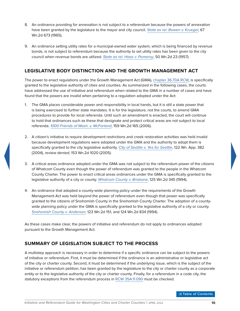- <span id="page-14-0"></span>8. An ordinance providing for annexation is not subject to a referendum because the powers of annexation have been granted by the legislature to the mayor and city council. *[State ex rel. Bowen v. Kruegel](http://courts.mrsc.org/mc/courts/zsupreme/067wn2d/067wn2d0673.htm)*, 67 Wn.2d 673 (1965).
- 9. An ordinance setting utility rates for a municipal-owned water system, which is being financed by revenue bonds, is not subject to referendum because the authority to set utility rates has been given to the city council when revenue bonds are utilized. *[State ex rel. Haas v. Pomeroy](http://courts.mrsc.org/mc/courts/zsupreme/050wn2d/050wn2d0023.htm)*, 50 Wn.2d 23 (1957).

# **LEGISLATIVE BODY DISTINCTION AND THE GROWTH MANAGEMENT ACT**

The power to enact regulations under the Growth Management Act (GMA), [chapter](https://apps.leg.wa.gov/rcw/default.aspx?Cite=36.70A) [36.70A](http://apps.leg.wa.gov/rcw/default.aspx?Cite=36.70A) [RCW](https://apps.leg.wa.gov/rcw/default.aspx?Cite=36.70A), is specifically granted to the legislative authority of cities and counties. As summarized in the following cases, the courts have addressed the use of initiative and referendum when related to the GMA in a number of cases and have found that the powers are invalid when pertaining to a regulation adopted under the Act:

- 1. The GMA places considerable power and responsibility in local hands, but it is still a state power that is being exercised to further state mandates. It is for the legislature, not the courts, to amend GMA procedures to provide for local referenda. Until such an amendment is enacted, the court will continue to hold that ordinances such as these that designate and protect critical areas are not subject to local referenda. *[1000 Friends of Wash. v. McFarland](http://courts.mrsc.org/mc/courts/zsupreme/159wn2d/159Wn2d0165.htm)*, 159 Wn.2d 165 (2006).
- 2. A citizen's initiative to require development restrictions and creek restoration activities was held invalid because development regulations were adopted under the GMA and the authority to adopt them is specifically granted to the city legislative authority. *[City of Seattle v. Yes for Seattle](http://courts.mrsc.org/mc/courts/zappellate/122wnapp/122wnapp0382.htm)*, 122 Wn. App. 382 (2004), *review denied*, 153 Wn.2d 1020 (2005).
- 3. A critical areas ordinance adopted under the GMA was not subject to the referendum power of the citizens of Whatcom County even though the power of referendum was granted to the people in the Whatcom County Charter. The power to enact critical areas ordinances under the GMA is specifically granted to the legislative authority of a city or county. *[Whatcom County v. Brisbane](http://courts.mrsc.org/mc/courts/zsupreme/125wn2d/125wn2d0345.htm)*, 125 Wn.2d 345 (1994).
- 4. An ordinance that adopted a county-wide planning policy under the requirements of the Growth Management Act was held beyond the power of referendum even though that power was specifically granted to the citizens of Snohomish County in the Snohomish County Charter. The adoption of a countywide planning policy under the GMA is specifically granted to the legislative authority of a city or county. *[Snohomish County v. Anderson](http://courts.mrsc.org/mc/courts/zsupreme/123wn2d/123wn2d0151.htm)*, 123 Wn.2d 151, and 124 Wn.2d 834 (1994).

As these cases make clear, the powers of initiative and referendum do not apply to ordinances adopted pursuant to the Growth Management Act.

# **SUMMARY OF LEGISLATION SUBJECT TO THE PROCESS**

A multistep approach is necessary in order to determine if a specific ordinance can be subject to the powers of initiative or referendum. First, it must be determined if the ordinance is an administrative or legislative act of the city or charter county. Second, it must be determined if the underlying issue, which is the subject of the initiative or referendum petition, has been granted by the legislature to the city or charter county as a corporate entity or to the legislative authority of the city or charter county. Finally, for a referendum in a code city, the statutory exceptions from the referendum process in [RCW](https://apps.leg.wa.gov/rcw/default.aspx?Cite=35A.11.090) [35A.11.090](http://apps.leg.wa.gov/rcw/default.aspx?Cite=35A.11.090) must be checked.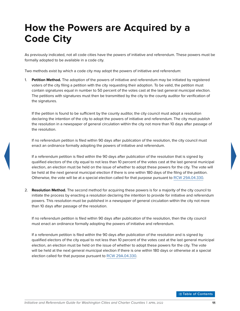# <span id="page-15-0"></span>**How the Powers are Acquired by a Code City**

As previously indicated, not all code cities have the powers of initiative and referendum. These powers must be formally adopted to be available in a code city.

Two methods exist by which a code city may adopt the powers of initiative and referendum:

1. **Petition Method.** The adoption of the powers of initiative and referendum may be initiated by registered voters of the city filing a petition with the city requesting their adoption. To be valid, the petition must contain signatures equal in number to 50 percent of the votes cast at the last general municipal election. The petitions with signatures must then be transmitted by the city to the county auditor for verification of the signatures.

If the petition is found to be sufficient by the county auditor, the city council must adopt a resolution declaring the intention of the city to adopt the powers of initiative and referendum. The city must publish the resolution in a newspaper of general circulation within the city not more than 10 days after passage of the resolution.

If no referendum petition is filed within 90 days after publication of the resolution, the city council must enact an ordinance formally adopting the powers of initiative and referendum.

If a referendum petition is filed within the 90 days after publication of the resolution that is signed by qualified electors of the city equal to not less than 10 percent of the votes cast at the last general municipal election, an election must be held on the issue of whether to adopt these powers for the city. The vote will be held at the next general municipal election if there is one within 180 days of the filing of the petition. Otherwise, the vote will be at a special election called for that purpose pursuant to [RCW](https://apps.leg.wa.gov/rcw/default.aspx?Cite=29A.04.330) [29A.04.330](http://apps.leg.wa.gov/rcw/default.aspx?Cite=29A.04.330).

2. **Resolution Method.** The second method for acquiring these powers is for a majority of the city council to initiate the process by enacting a resolution declaring the intention to provide for initiative and referendum powers. This resolution must be published in a newspaper of general circulation within the city not more than 10 days after passage of the resolution.

If no referendum petition is filed within 90 days after publication of the resolution, then the city council must enact an ordinance formally adopting the powers of initiative and referendum.

If a referendum petition is filed within the 90 days after publication of the resolution and is signed by qualified electors of the city equal to not less than 10 percent of the votes cast at the last general municipal election, an election must be held on the issue of whether to adopt these powers for the city. The vote will be held at the next general municipal election if there is one within 180 days or otherwise at a special election called for that purpose pursuant to [RCW](https://apps.leg.wa.gov/rcw/default.aspx?Cite=29A.04.330) [29A.04.330.](http://apps.leg.wa.gov/rcw/default.aspx?Cite=29A.04.330)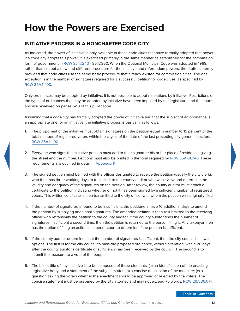# <span id="page-16-0"></span>**How the Powers are Exercised**

# **INITIATIVE PROCESS IN A NONCHARTER CODE CITY**

As indicated, the power of initiative is only available in those code cities that have formally adopted that power. If a code city adopts this power, it is exercised primarily in the same manner as established for the commission form of government in [RCW](https://apps.leg.wa.gov/rcw/default.aspx?Cite=35.17.240) [35.17.240](http://apps.leg.wa.gov/rcw/default.aspx?Cite=35.17.240) - 35.17.360. When the Optional Municipal Code was adopted in 1969, rather than set out a new and different procedure for the initiative and referendum powers, the drafters merely provided that code cities use the same basic procedure that already existed for commission cities. The one exception is in the number of signatures required for a successful petition for code cities, as specified by [RCW](https://apps.leg.wa.gov/rcw/default.aspx?Cite=35A.11.100) [35A.11.100](http://apps.leg.wa.gov/rcw/default.aspx?Cite=35A.11.100).

Only ordinances may be adopted by initiative. It is not possible to adopt resolutions by initiative. Restrictions on the types of ordinances that may be adopted by initiative have been imposed by the legislature and the courts and are reviewed on pages 5-10 of this publication.

Assuming that a code city has formally adopted the power of initiative and that the subject of an ordinance is an appropriate one for an initiative, the initiative process is basically as follows:

- 1. The proponent of the initiative must obtain signatures on the petition equal in number to 15 percent of the total number of registered voters within the city as of the date of the last preceding city general election. [RCW](https://apps.leg.wa.gov/rcw/default.aspx?Cite=35A.11.100) [35A.11.100](http://apps.leg.wa.gov/rcw/default.aspx?Cite=35A.11.100).
- 2. Everyone who signs the initiative petition must add to their signature his or her place of residence, giving the street and the number. Petitions must also be printed in the form required by [RCW](https://apps.leg.wa.gov/rcw/default.aspx?Cite=35A.01.040) [35A.01.040.](http://apps.leg.wa.gov/rcw/default.aspx?Cite=35A.01.040) These requirements are outlined in detail in [Appendix K.](#page-38-1)
- 3. The signed petition must be filed with the officer designated to receive the petition (usually the city clerk), who then has three working days to transmit it to the county auditor who will review and determine the validity and adequacy of the signatures on the petition. After review, the county auditor must attach a certificate to the petition indicating whether or not it has been signed by a sufficient number of registered voters. This written certificate is then transmitted to the city officer with whom the petition was originally filed.
- 4. If the number of signatures is found to be insufficient, the petitioners have 10 additional days to amend the petition by supplying additional signatures. The amended petition is then resubmitted to the receiving officer who retransmits the petition to the county auditor. If the county auditor finds the number of signatures insufficient a second time, then the petition is returned to the person filing it. Any taxpayer then has the option of filing an action in superior court to determine if the petition is sufficient.
- 5. If the county auditor determines that the number of signatures is sufficient, then the city council has two options. The first is for the city council to pass the proposed ordinance, without alteration, within 20 days after the county auditor's certificate of sufficiency has been received by the council. The second is to submit the measure to a vote of the people.
- 6. The ballot title of any initiative is to be composed of three elements: (a) an identification of the enacting legislative body and a statement of the subject matter; (b) a concise description of the measure; (c) a question asking the voters whether the enactment should be approved or rejected by the voters. The concise statement must be prepared by the city attorney and may not exceed 75 words. [RCW](https://apps.leg.wa.gov/rcw/default.aspx?Cite=29A.36.071) [29A.36.071](http://apps.leg.wa.gov/rcw/default.aspx?Cite=29A.36.071).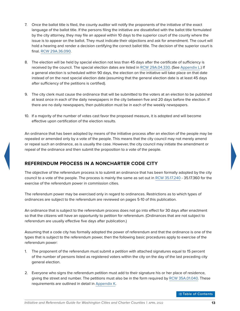- <span id="page-17-0"></span>7. Once the ballot title is filed, the county auditor will notify the proponents of the initiative of the exact language of the ballot title. If the persons filing the initiative are dissatisfied with the ballot title formulated by the city attorney, they may file an appeal within 10 days to the superior court of the county where the issue is to appear on the ballot. They must indicate their objections and ask for amendment. The court will hold a hearing and render a decision certifying the correct ballot title. The decision of the superior court is final. [RCW](https://apps.leg.wa.gov/rcw/default.aspx?Cite=29A.36.090) [29A.36.090](http://apps.leg.wa.gov/rcw/default.aspx?Cite=29A.36.090).
- 8. The election will be held by special election not less than 45 days after the certificate of sufficiency is received by the council. The special election dates are listed in [RCW](https://apps.leg.wa.gov/rcw/default.aspx?Cite=29A.04.330) [29A.04.330.](http://apps.leg.wa.gov/rcw/default.aspx?Cite=29A.04.330) (See [Appendix L](#page-40-1).) If a general election is scheduled within 90 days, the election on the initiative will take place on that date instead of on the next special election date (assuming that the general election date is at least 45 days after sufficiency of the petitions is certified).
- 9. The city clerk must cause the ordinance that will be submitted to the voters at an election to be published at least once in each of the daily newspapers in the city between five and 20 days before the election. If there are no daily newspapers, then publication must be in each of the weekly newspapers.
- 10. If a majority of the number of votes cast favor the proposed measure, it is adopted and will become effective upon certification of the election results.

An ordinance that has been adopted by means of the initiative process after an election of the people may be repealed or amended only by a vote of the people. This means that the city council may not merely amend or repeal such an ordinance, as is usually the case. However, the city council may initiate the amendment or repeal of the ordinance and then submit the proposition to a vote of the people.

# **REFERENDUM PROCESS IN A NONCHARTER CODE CITY**

The objective of the referendum process is to submit an ordinance that has been formally adopted by the city council to a vote of the people. The process is mainly the same as set out in [RCW](https://apps.leg.wa.gov/rcw/default.aspx?Cite=35.17.240) [35.17.240](http://apps.leg.wa.gov/rcw/default.aspx?Cite=35.17.240) - 35.17.360 for the exercise of the referendum power in commission cities.

The referendum power may be exercised only in regard to ordinances. Restrictions as to which types of ordinances are subject to the referendum are reviewed on pages 5-10 of this publication.

An ordinance that is subject to the referendum process does not go into effect for 30 days after enactment so that the citizens will have an opportunity to petition for referendum. (Ordinances that are not subject to referendum are usually effective five days after publication.)

Assuming that a code city has formally adopted the power of referendum and that the ordinance is one of the types that is subject to the referendum power, then the following basic procedures apply to exercise of the referendum power:

- 1. The proponent of the referendum must submit a petition with attached signatures equal to 15 percent of the number of persons listed as registered voters within the city on the day of the last preceding city general election.
- 2. Everyone who signs the referendum petition must add to their signature his or her place of residence, giving the street and number. The petitions must also be in the form required by [RCW](https://apps.leg.wa.gov/rcw/default.aspx?Cite=35A.01.040) [35A.01.040](http://apps.leg.wa.gov/rcw/default.aspx?Cite=35A.01.040). These requirements are outlined in detail in [Appendix K.](#page-38-1)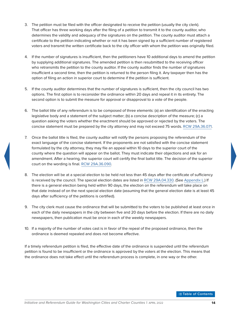- 3. The petition must be filed with the officer designated to receive the petition (usually the city clerk). That officer has three working days after the filing of a petition to transmit it to the county auditor, who determines the validity and adequacy of the signatures on the petition. The county auditor must attach a certificate to the petition indicating whether or not it has been signed by a sufficient number of registered voters and transmit the written certificate back to the city officer with whom the petition was originally filed.
- 4. If the number of signatures is insufficient, then the petitioners have 10 additional days to amend the petition by supplying additional signatures. The amended petition is then resubmitted to the receiving officer who retransmits the petition to the county auditor. If the county auditor finds the number of signatures insufficient a second time, then the petition is returned to the person filing it. Any taxpayer then has the option of filing an action in superior court to determine if the petition is sufficient.
- 5. If the county auditor determines that the number of signatures is sufficient, then the city council has two options. The first option is to reconsider the ordinance within 20 days and repeal it in its entirety. The second option is to submit the measure for approval or disapproval to a vote of the people.
- 6. The ballot title of any referendum is to be composed of three elements: (a) an identification of the enacting legislative body and a statement of the subject matter; (b) a concise description of the measure; (c) a question asking the voters whether the enactment should be approved or rejected by the voters. The concise statement must be prepared by the city attorney and may not exceed 75 words. [RCW](https://apps.leg.wa.gov/rcw/default.aspx?Cite=29A.36.071) [29A.36.071](http://apps.leg.wa.gov/rcw/default.aspx?Cite=29A.36.071).
- 7. Once the ballot title is filed, the county auditor will notify the persons proposing the referendum of the exact language of the concise statement. If the proponents are not satisfied with the concise statement formulated by the city attorney, they may file an appeal within 10 days to the superior court of the county where the question will appear on the ballot. They must indicate their objections and ask for an amendment. After a hearing, the superior court will certify the final ballot title. The decision of the superior court on the wording is final. [RCW](https://apps.leg.wa.gov/rcw/default.aspx?Cite=29A.36.090) [29A.36.090.](http://apps.leg.wa.gov/rcw/default.aspx?Cite=29A.36.090)
- 8. The election will be at a special election to be held not less than 45 days after the certificate of sufficiency is received by the council. The special election dates are listed in [RCW](https://apps.leg.wa.gov/rcw/default.aspx?Cite=29A.04.330) [29A.04.330](http://apps.leg.wa.gov/rcw/default.aspx?Cite=29A.04.330). (See [Appendix L.](#page-40-1)) If there is a general election being held within 90 days, the election on the referendum will take place on that date instead of on the next special election date (assuming that the general election date is at least 45 days after sufficiency of the petitions is certified).
- 9. The city clerk must cause the ordinance that will be submitted to the voters to be published at least once in each of the daily newspapers in the city between five and 20 days before the election. If there are no daily newspapers, then publication must be once in each of the weekly newspapers.
- 10. If a majority of the number of votes cast is in favor of the repeal of the proposed ordinance, then the ordinance is deemed repealed and does not become effective.

If a timely referendum petition is filed, the effective date of the ordinance is suspended until the referendum petition is found to be insufficient or the ordinance is approved by the voters at the election. This means that the ordinance does not take effect until the referendum process is complete, in one way or the other.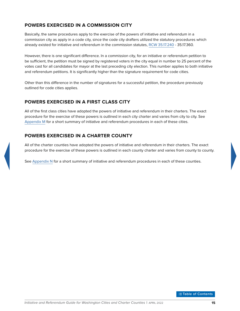# <span id="page-19-0"></span>**POWERS EXERCISED IN A COMMISSION CITY**

Basically, the same procedures apply to the exercise of the powers of initiative and referendum in a commission city as apply in a code city, since the code city drafters utilized the statutory procedures which already existed for initiative and referendum in the commission statutes, [RCW](https://apps.leg.wa.gov/rcw/default.aspx?Cite=35.17.240) [35.17.240](http://apps.leg.wa.gov/rcw/default.aspx?Cite=35.17.240) - 35.17.360.

However, there is one significant difference. In a commission city, for an initiative or referendum petition to be sufficient, the petition must be signed by registered voters in the city equal in number to 25 percent of the votes cast for all candidates for mayor at the last preceding city election. This number applies to both initiative and referendum petitions. It is significantly higher than the signature requirement for code cities.

Other than this difference in the number of signatures for a successful petition, the procedure previously outlined for code cities applies.

# **POWERS EXERCISED IN A FIRST CLASS CITY**

All of the first class cities have adopted the powers of initiative and referendum in their charters. The exact procedure for the exercise of these powers is outlined in each city charter and varies from city to city. See [Appendix M](#page-41-1) for a short summary of initiative and referendum procedures in each of these cities.

# **POWERS EXERCISED IN A CHARTER COUNTY**

All of the charter counties have adopted the powers of initiative and referendum in their charters. The exact procedure for the exercise of these powers is outlined in each county charter and varies from county to county.

See [Appendix N](#page-44-1) for a short summary of initiative and referendum procedures in each of these counties.

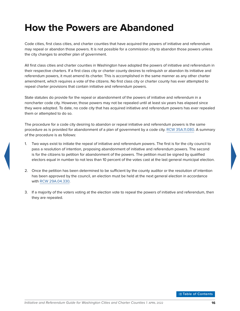# <span id="page-20-0"></span>**How the Powers are Abandoned**

Code cities, first class cities, and charter counties that have acquired the powers of initiative and referendum may repeal or abandon those powers. It is not possible for a commission city to abandon those powers unless the city changes to another plan of government.

All first class cities and charter counties in Washington have adopted the powers of initiative and referendum in their respective charters. If a first class city or charter county desires to relinquish or abandon its initiative and referendum powers, it must amend its charter. This is accomplished in the same manner as any other charter amendment, which requires a vote of the citizens. No first class city or charter county has ever attempted to repeal charter provisions that contain initiative and referendum powers.

State statutes do provide for the repeal or abandonment of the powers of initiative and referendum in a noncharter code city. However, those powers may not be repealed until at least six years has elapsed since they were adopted. To date, no code city that has acquired initiative and referendum powers has ever repealed them or attempted to do so.

The procedure for a code city desiring to abandon or repeal initiative and referendum powers is the same procedure as is provided for abandonment of a plan of government by a code city. [RCW](https://apps.leg.wa.gov/rcw/default.aspx?Cite=35A.11.080) [35A.11.080](http://apps.leg.wa.gov/rcw/default.aspx?Cite=35A.11.080). A summary of the procedure is as follows:

- 1. Two ways exist to initiate the repeal of initiative and referendum powers. The first is for the city council to pass a resolution of intention, proposing abandonment of initiative and referendum powers. The second is for the citizens to petition for abandonment of the powers. The petition must be signed by qualified electors equal in number to not less than 10 percent of the votes cast at the last general municipal election.
- 2. Once the petition has been determined to be sufficient by the county auditor or the resolution of intention has been approved by the council, an election must be held at the next general election in accordance with [RCW](https://apps.leg.wa.gov/rcw/default.aspx?Cite=29A.04.330) [29A.04.330](http://apps.leg.wa.gov/rcw/default.aspx?Cite=29A.04.330).
- 3. If a majority of the voters voting at the election vote to repeal the powers of initiative and referendum, then they are repealed.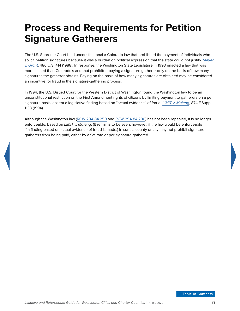# <span id="page-21-0"></span>**Process and Requirements for Petition Signature Gatherers**

The U.S. Supreme Court held unconstitutional a Colorado law that prohibited the payment of individuals who solicit petition signatures because it was a burden on political expression that the state could not justify. *[Meyer](http://supreme.justia.com/cases/federal/us/486/414/case.html)  [v. Grant](http://supreme.justia.com/cases/federal/us/486/414/case.html)*, 486 U.S. 414 (1988). In response, the Washington State Legislature in 1993 enacted a law that was more limited than Colorado's and that prohibited paying a signature gatherer only on the basis of how many signatures the gatherer obtains. Paying on the basis of how many signatures are obtained may be considered an incentive for fraud in the signature-gathering process.

In 1994, the U.S. District Court for the Western District of Washington found the Washington law to be an unconstitutional restriction on the First Amendment rights of citizens by limiting payment to gatherers on a per signature basis, absent a legislative finding based on "actual evidence" of fraud. *[LIMIT v. Maleng](https://law.justia.com/cases/federal/district-courts/FSupp/874/1138/1478116/)*, 874 F.Supp. 1138 (1994).

Although the Washington law [\(RCW](https://apps.leg.wa.gov/rcw/default.aspx?Cite=29A.84.250) [29A.84.250](http://apps.leg.wa.gov/rcw/default.aspx?Cite=29A.84.250) and [RCW 29A.84.280\)](https://apps.leg.wa.gov/rcw/default.aspx?Cite=29A.84.280) has not been repealed, it is no longer enforceable, based on *LIMIT v. Maleng*. (It remains to be seen, however, if the law would be enforceable if a finding based on actual evidence of fraud is made.) In sum, a county or city may not prohibit signature gatherers from being paid, either by a flat rate or per signature gathered.

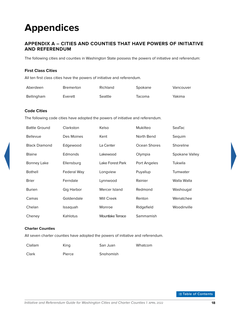# <span id="page-22-1"></span>**Appendices**

## <span id="page-22-0"></span>**APPENDIX A – CITIES AND COUNTIES THAT HAVE POWERS OF INITIATIVE AND REFERENDUM**

The following cities and counties in Washington State possess the powers of initiative and referendum:

#### **First Class Cities**

All ten first class cities have the powers of initiative and referendum.

| Aberdeen   | <b>Bremerton</b> | Richland | Spokane | Vancouver |
|------------|------------------|----------|---------|-----------|
| Bellingham | Everett          | Seattle  | Tacoma  | Yakima    |

#### **Code Cities**

The following code cities have adopted the powers of initiative and referendum.

| <b>Battle Ground</b> | Clarkston          | Kelso             | Mukilteo     | <b>SeaTac</b>  |
|----------------------|--------------------|-------------------|--------------|----------------|
| <b>Bellevue</b>      | Des Moines         | Kent              | North Bend   | Sequim         |
| <b>Black Diamond</b> | Edgewood           | La Center         | Ocean Shores | Shoreline      |
| <b>Blaine</b>        | Edmonds            | Lakewood          | Olympia      | Spokane Valley |
| <b>Bonney Lake</b>   | Ellensburg         | Lake Forest Park  | Port Angeles | Tukwila        |
| <b>Bothell</b>       | <b>Federal Way</b> | Longview          | Puyallup     | Tumwater       |
| <b>Brier</b>         | Ferndale           | Lynnwood          | Rainier      | Walla Walla    |
| <b>Burien</b>        | Gig Harbor         | Mercer Island     | Redmond      | Washougal      |
| Camas                | Goldendale         | <b>Mill Creek</b> | Renton       | Wenatchee      |
| Chelan               | Issaquah           | Monroe            | Ridgefield   | Woodinville    |
| Cheney               | Kahlotus           | Mountlake Terrace | Sammamish    |                |

#### **Charter Counties**

All seven charter counties have adopted the powers of initiative and referendum.

| <b>Clallam</b> | King   | San Juan  | Whatcom |
|----------------|--------|-----------|---------|
| Clark          | Pierce | Snohomish |         |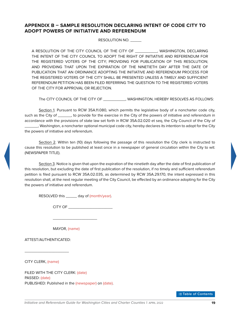### <span id="page-23-0"></span>**APPENDIX B – SAMPLE RESOLUTION DECLARING INTENT OF CODE CITY TO ADOPT POWERS OF INITIATIVE AND REFERENDUM**

RESOLUTION NO. \_\_\_\_\_

A RESOLUTION OF THE CITY COUNCIL OF THE CITY OF \_\_\_\_\_\_\_\_\_\_, WASHINGTON, DECLARING THE INTENT OF THE CITY COUNCIL TO ADOPT THE RIGHT OF INITIATIVE AND REFERENDUM FOR THE REGISTERED VOTERS OF THE CITY; PROVIDING FOR PUBLICATION OF THIS RESOLUTION; AND PROVIDING THAT UPON THE EXPIRATION OF THE NINETIETH DAY AFTER THE DATE OF PUBLICATION THAT AN ORDINANCE ADOPTING THE INITIATIVE AND REFERENDUM PROCESS FOR THE REGISTERED VOTERS OF THE CITY SHALL BE PRESENTED UNLESS A TIMELY AND SUFFICIENT REFERENDUM PETITION HAS BEEN FILED REFERRING THE QUESTION TO THE REGISTERED VOTERS OF THE CITY FOR APPROVAL OR REJECTION.

The CITY COUNCIL OF THE CITY OF \_\_\_\_\_\_\_\_\_, WASHINGTON, HEREBY RESOLVES AS FOLLOWS:

Section 1. Pursuant to RCW 35A.11.080, which permits the legislative body of a noncharter code city, such as the City of \_\_\_\_\_\_, to provide for the exercise in the City of the powers of initiative and referendum in accordance with the provisions of state law set forth in RCW 35A.02.020 et seq, the City Council of the City of \_\_\_\_\_\_, Washington, a noncharter optional municipal code city, hereby declares its intention to adopt for the City the powers of initiative and referendum.

Section 2. Within ten (10) days following the passage of this resolution the City clerk is instructed to cause this resolution to be published at least once in a newspaper of general circulation within the City to wit: (NEWSPAPER TITLE).

Section 3. Notice is given that upon the expiration of the ninetieth day after the date of first publication of this resolution, but excluding the date of first publication of the resolution, if no timely and sufficient referendum petition is filed pursuant to RCW 35A.02.035, as determined by RCW 35A.29.170, the intent expressed in this resolution shall, at the next regular meeting of the City Council, be effected by an ordinance adopting for the City the powers of initiative and referendum.

RESOLVED this \_\_\_\_\_\_ day of (month/year).

CITY OF \_\_\_\_\_\_\_\_\_\_\_\_\_\_\_\_\_\_\_\_

MAYOR, (name)

 $\overline{\phantom{a}}$  , and the set of the set of the set of the set of the set of the set of the set of the set of the set of the set of the set of the set of the set of the set of the set of the set of the set of the set of the s

ATTEST/AUTHENTICATED:

\_\_\_\_\_\_\_\_\_\_\_\_\_\_\_\_\_\_\_\_

CITY CLERK, (name)

FILED WITH THE CITY CLERK: (date) PASSED: (date) PUBLISHED: Published in the (newspaper) on (date).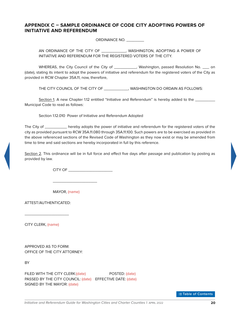### <span id="page-24-0"></span>**APPENDIX C – SAMPLE ORDINANCE OF CODE CITY ADOPTING POWERS OF INITIATIVE AND REFERENDUM**

ORDINANCE NO. \_\_\_\_\_\_\_\_

AN ORDINANCE OF THE CITY OF \_\_\_\_\_\_\_\_\_\_, WASHINGTON, ADOPTING A POWER OF INITIATIVE AND REFERENDUM FOR THE REGISTERED VOTERS OF THE CITY.

WHEREAS, the City Council of the City of \_\_\_\_\_\_\_\_\_\_\_, Washington, passed Resolution No. \_\_\_ on (date), stating its intent to adopt the powers of initiative and referendum for the registered voters of the City as provided in RCW Chapter 35A.11, now, therefore,

THE CITY COUNCIL OF THE CITY OF \_\_\_\_\_\_\_\_\_\_\_, WASHINGTON DO ORDAIN AS FOLLOWS:

Section 1. A new Chapter 1.12 entitled "Initiative and Referendum" is hereby added to the \_\_\_\_\_\_\_\_\_ Municipal Code to read as follows:

Section 1.12.010 Power of Initiative and Referendum Adopted

The City of \_\_\_\_\_\_\_\_\_\_ hereby adopts the power of initiative and referendum for the registered voters of the city as provided pursuant to RCW 35A.11.080 through 35A.11.100. Such powers are to be exercised as provided in the above referenced sections of the Revised Code of Washington as they now exist or may be amended from time to time and said sections are hereby incorporated in full by this reference.

Section 2. This ordinance will be in full force and effect five days after passage and publication by posting as provided by law.

CITY OF \_\_\_\_\_\_\_\_\_\_\_\_\_\_\_\_\_\_\_\_

MAYOR, (name)

 $\frac{1}{2}$  ,  $\frac{1}{2}$  ,  $\frac{1}{2}$  ,  $\frac{1}{2}$  ,  $\frac{1}{2}$  ,  $\frac{1}{2}$  ,  $\frac{1}{2}$  ,  $\frac{1}{2}$  ,  $\frac{1}{2}$  ,  $\frac{1}{2}$  ,  $\frac{1}{2}$  ,  $\frac{1}{2}$  ,  $\frac{1}{2}$  ,  $\frac{1}{2}$  ,  $\frac{1}{2}$  ,  $\frac{1}{2}$  ,  $\frac{1}{2}$  ,  $\frac{1}{2}$  ,  $\frac{1$ 

ATTEST/AUTHENTICATED:

\_\_\_\_\_\_\_\_\_\_\_\_\_\_\_\_\_\_\_\_

CITY CLERK, (name)

APPROVED AS TO FORM: OFFICE OF THE CITY ATTORNEY:

**BY** 

FILED WITH THE CITY CLERK:(date) POSTED: (date) PASSED BY THE CITY COUNCIL: (date) EFFECTIVE DATE: (date) SIGNED BY THE MAYOR: (date)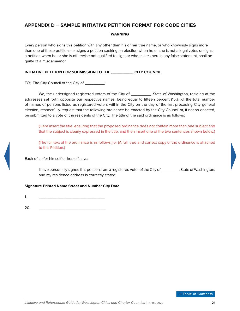### <span id="page-25-0"></span>**APPENDIX D – SAMPLE INITIATIVE PETITION FORMAT FOR CODE CITIES**

#### **WARNING**

Every person who signs this petition with any other than his or her true name, or who knowingly signs more than one of these petitions, or signs a petition seeking an election when he or she is not a legal voter, or signs a petition when he or she is otherwise not qualified to sign, or who makes herein any false statement, shall be guilty of a misdemeanor.

#### **INITIATIVE PETITION FOR SUBMISSION TO THE \_\_\_\_\_\_\_\_\_\_ CITY COUNCIL**

TO: The City Council of the City of \_\_\_\_\_\_\_\_\_:

We, the undersigned registered voters of the City of \_\_\_\_\_\_\_\_\_, State of Washington, residing at the addresses set forth opposite our respective names, being equal to fifteen percent (15%) of the total number of names of persons listed as registered voters within the City on the day of the last preceding City general election, respectfully request that the following ordinance be enacted by the City Council or, if not so enacted, be submitted to a vote of the residents of the City. The title of the said ordinance is as follows:

(Here insert the title, ensuring that the proposed ordinance does not contain more than one subject and that the subject is clearly expressed in the title, and then insert one of the two sentences shown below.)

(The full text of the ordinance is as follows:] or (A full, true and correct copy of the ordinance is attached to this Petition.)

Each of us for himself or herself says:

I have personally signed this petition; I am a registered voter of the City of \_\_\_\_\_\_\_\_, State of Washington; and my residence address is correctly stated.

#### **Signature Printed Name Street and Number City Date**

1. \_\_\_\_\_\_\_\_\_\_\_\_\_\_\_\_\_\_\_\_\_\_\_\_\_\_\_\_\_\_

20. \_\_\_\_\_\_\_\_\_\_\_\_\_\_\_\_\_\_\_\_\_\_\_\_\_\_\_\_\_\_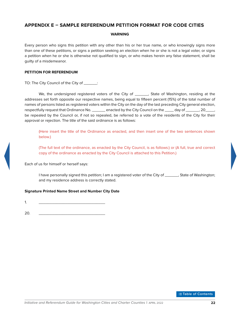### <span id="page-26-0"></span>**APPENDIX E – SAMPLE REFERENDUM PETITION FORMAT FOR CODE CITIES**

#### **WARNING**

Every person who signs this petition with any other than his or her true name, or who knowingly signs more than one of these petitions, or signs a petition seeking an election when he or she is not a legal voter, or signs a petition when he or she is otherwise not qualified to sign, or who makes herein any false statement, shall be guilty of a misdemeanor.

#### **PETITION FOR REFERENDUM**

TO: The City Council of the City of \_\_\_\_\_\_:

We, the undersigned registered voters of the City of \_\_\_\_\_\_, State of Washington, residing at the addresses set forth opposite our respective names, being equal to fifteen percent (15%) of the total number of names of persons listed as registered voters within the City on the day of the last preceding City general election, respectfully request that Ordinance No. \_\_\_\_\_\_ enacted by the City Council on the \_\_\_\_ day of \_\_\_\_\_\_, 20\_\_\_\_, be repealed by the Council or, if not so repealed, be referred to a vote of the residents of the City for their approval or rejection. The title of the said ordinance is as follows:

(Here insert the title of the Ordinance as enacted, and then insert one of the two sentences shown below.)

(The full text of the ordinance, as enacted by the City Council, is as follows:) or (A full, true and correct copy of the ordinance as enacted by the City Council is attached to this Petition.)

Each of us for himself or herself says:

I have personally signed this petition; I am a registered voter of the City of \_\_\_\_\_\_, State of Washington; and my residence address is correctly stated.

#### **Signature Printed Name Street and Number City Date**

1. \_\_\_\_\_\_\_\_\_\_\_\_\_\_\_\_\_\_\_\_\_\_\_\_\_\_\_\_\_\_

20. \_\_\_\_\_\_\_\_\_\_\_\_\_\_\_\_\_\_\_\_\_\_\_\_\_\_\_\_\_\_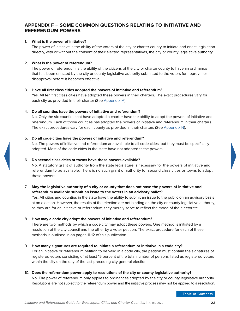### <span id="page-27-0"></span>**APPENDIX F – SOME COMMON QUESTIONS RELATING TO INITIATIVE AND REFERENDUM POWERS**

#### 1. **What is the power of initiative?**

The power of initiative is the ability of the voters of the city or charter county to initiate and enact legislation directly, with or without the consent of their elected representatives, the city or county legislative authority.

#### 2. **What is the power of referendum?**

The power of referendum is the ability of the citizens of the city or charter county to have an ordinance that has been enacted by the city or county legislative authority submitted to the voters for approval or disapproval before it becomes effective.

#### 3. **Have all first class cities adopted the powers of initiative and referendum?**

Yes. All ten first class cities have adopted these powers in their charters. The exact procedures vary for each city as provided in their charter (See [Appendix M\)](#page-41-1).

#### 4. **Do all counties have the powers of initiative and referendum?**

No. Only the six counties that have adopted a charter have the ability to adopt the powers of initiative and referendum. Each of those counties has adopted the powers of initiative and referendum in their charters. The exact procedures vary for each county as provided in their charters (See [Appendix N\)](#page-44-1).

#### 5. **Do all code cities have the powers of initiative and referendum?**

No. The powers of initiative and referendum are available to all code cities, but they must be specifically adopted. Most of the code cities in the state have not adopted these powers.

#### 6. **Do second class cities or towns have these powers available?**

No. A statutory grant of authority from the state legislature is necessary for the powers of initiative and referendum to be available. There is no such grant of authority for second class cities or towns to adopt these powers.

#### 7. **May the legislative authority of a city or county that does not have the powers of initiative and referendum available submit an issue to the voters in an advisory ballot?**

Yes. All cities and counties in the state have the ability to submit an issue to the public on an advisory basis at an election. However, the results of the election are not binding on the city or county legislative authority, as they are for an initiative or referendum; they merely serve to reflect the mood of the electorate.

#### 8. **How may a code city adopt the powers of initiative and referendum?**

There are two methods by which a code city may adopt these powers. One method is initiated by a resolution of the city council and the other by a voter petition. The exact procedure for each of these methods is outlined in on pages 11-12 of this publication.

#### 9. **How many signatures are required to initiate a referendum or initiative in a code city?**

For an initiative or referendum petition to be valid in a code city, the petition must contain the signatures of registered voters consisting of at least 15 percent of the total number of persons listed as registered voters within the city on the day of the last preceding city general election.

#### 10. **Does the referendum power apply to resolutions of the city or county legislative authority?**

No. The power of referendum only applies to ordinances adopted by the city or county legislative authority. Resolutions are not subject to the referendum power and the initiative process may not be applied to a resolution.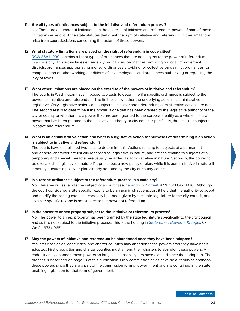#### 11. **Are all types of ordinances subject to the initiative and referendum process?**

No. There are a number of limitations on the exercise of initiative and referendum powers. Some of these limitations arise out of the state statutes that grant the right of initiative and referendum. Other limitations arise from court decisions concerning the extent of these powers.

#### 12. **What statutory limitations are placed on the right of referendum in code cities?**

[RCW](https://apps.leg.wa.gov/rcw/default.aspx?Cite=35A.11.090) [35A.11.090](http://apps.leg.wa.gov/rcw/default.aspx?Cite=35A.11.090) contains a list of types of ordinances that are not subject to the power of referendum in a code city. This list includes emergency ordinances, ordinances providing for local improvement districts, ordinances appropriating money, ordinances providing for collective bargaining, ordinances for compensation or other working conditions of city employees, and ordinances authorizing or repealing the levy of taxes.

#### 13. **What other limitations are placed on the exercise of the powers of initiative and referendum?**

The courts in Washington have imposed two tests to determine if a specific ordinance is subject to the powers of initiative and referendum. The first test is whether the underlying action is administrative or legislative. Only legislative actions are subject to initiative and referendum; administrative actions are not. The second test is to determine if the power is one that has been granted to the legislative authority of the city or county or whether it is a power that has been granted to the corporate entity as a whole. If it is a power that has been granted to the legislative authority or city council specifically, then it is not subject to initiative and referendum.

#### 14. **What is an administrative action and what is a legislative action for purposes of determining if an action is subject to initiative and referendum?**

The courts have established two tests to determine this. Actions relating to subjects of a permanent and general character are usually regarded as legislative in nature, and actions relating to subjects of a temporary and special character are usually regarded as administrative in nature. Secondly, the power to be exercised is legislative in nature if it prescribes a new policy or plan, while it is administrative in nature if it merely pursues a policy or plan already adopted by the city or county council.

#### 15. **Is a rezone ordinance subject to the referendum process in a code city?**

No. This specific issue was the subject of a court case, *[Leornard v. Bothell](http://courts.mrsc.org/mc/courts/zsupreme/087wn2d/087wn2d0847.htm)*, 87 Wn.2d 847 (1976). Although the court considered a site-specific rezone to be an administrative action, it held that the authority to adopt and modify the zoning code in a code city had been given by the state legislature to the city council, and so a site-specific rezone is not subject to the power of referendum.

#### 16. **Is the power to annex property subject to the initiative or referendum process?**

No. The power to annex property has been granted by the state legislature specifically to the city council and so it is not subject to the initiative process. This is the holding in *[State ex rel. Bowen v. Kruegel](http://courts.mrsc.org/mc/courts/zsupreme/067wn2d/067wn2d0673.htm)*, 67 Wn.2d 673 (1965).

#### 17. **May the powers of initiative and referendum be abandoned once they have been adopted?**

Yes, first class cities, code cities, and charter counties may abandon these powers after they have been adopted. First class cities and charter counties must amend their charters to abandon these powers. A code city may abandon these powers so long as at least six years have elapsed since their adoption. The process is described on page 18 of this publication. Only commission cities have no authority to abandon these powers since they are a part of the commission form of government and are contained in the state enabling legislation for that form of government.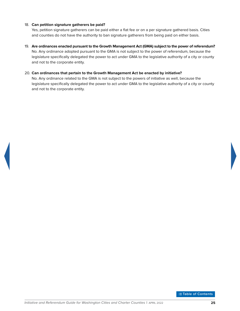#### 18. **Can petition signature gatherers be paid?**

Yes, petition signature gatherers can be paid either a flat fee or on a per signature gathered basis. Cities and counties do not have the authority to ban signature gatherers from being paid on either basis.

19. **Are ordinances enacted pursuant to the Growth Management Act (GMA) subject to the power of referendum?** No. Any ordinance adopted pursuant to the GMA is not subject to the power of referendum, because the legislature specifically delegated the power to act under GMA to the legislative authority of a city or county and not to the corporate entity.

#### 20. **Can ordinances that pertain to the Growth Management Act be enacted by initiative?**

No. Any ordinance related to the GMA is not subject to the powers of initiative as well, because the legislature specifically delegated the power to act under GMA to the legislative authority of a city or county and not to the corporate entity.



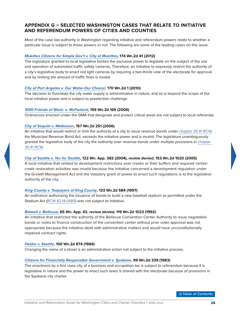### <span id="page-30-0"></span>**APPENDIX G – SELECTED WASHINGTON CASES THAT RELATE TO INITIATIVE AND REFERENDUM POWERS OF CITIES AND COUNTIES**

Most of the case law authority in Washington regarding initiative and referendum powers relate to whether a particular issue is subject to those powers or not. The following are some of the leading cases on this issue:

#### *[Mukilteo Citizens for Simple Gov't v. City of Mukilteo](http://courts.mrsc.org/mc/courts/zsupreme/174wn2d/174wn2d0041.htm)***, 174 Wn.2d 41 (2012)**

The legislature granted to local legislative bodies the exclusive power to legislate on the subject of the use and operation of automated traffic safety cameras. Therefore, an initiative to expressly restrict the authority of a city's legislative body to enact red light cameras by requiring a two-thirds vote of the electorate for approval and by limiting the amount of traffic fines is invalid.

#### *[City of Port Angeles v. Our Water-Our Choice!](http://courts.mrsc.org/mc/courts/zsupreme/170wn2d/170wn2d0001.htm)***, 170 Wn.2d 1 (2010)**

The decision to fluoridate the city water supply is administrative in nature, and so is beyond the scope of the local initiative power and is subject to preelection challenge.

#### *[1000 Friends of Wash. v. McFarland](http://courts.mrsc.org/mc/courts/zsupreme/159wn2d/159Wn2d0165.htm)***, 159 Wn.2d 165 (2006)**

Ordinances enacted under the GMA that designate and protect critical areas are not subject to local referenda.

#### *[City of Sequim v. Malkasian](http://courts.mrsc.org/mc/courts/zsupreme/157wn2d/157Wn2d0251.htm)***, 157 Wn.2d 251 (2006)**

An initiative that would restrict or limit the authority of a city to issue revenue bonds under [chapter](https://apps.leg.wa.gov/rcw/default.aspx?Cite=35.41) [35.41](http://apps.leg.wa.gov/rcw/default.aspx?Cite=35.41) [RCW,](https://apps.leg.wa.gov/rcw/default.aspx?Cite=35.41) the Municipal Revenue Bond Act, exceeds the initiative power and is invalid. The legislature unambiguously granted the legislative body of the city the authority over revenue bonds under multiple provisions in [chapter](https://apps.leg.wa.gov/rcw/default.aspx?Cite=35.41)  [35.41](http://apps.leg.wa.gov/rcw/default.aspx?Cite=35.41) [RCW](https://apps.leg.wa.gov/rcw/default.aspx?Cite=35.41).

#### *[City of Seattle v. Yes for Seattle](http://courts.mrsc.org/mc/courts/zappellate/122wnapp/122wnapp0382.htm)***, 122 Wn. App. 382 (2004),** *review denied***, 153 Wn.2d 1020 (2005)**

A local initiative that related to development restrictions over creeks or their buffers and required certain creek restoration activities was invalid because the initiative concerned a development regulation under the Growth Management Act and the statutory grant of power to enact such regulations is to the legislative authority of the city.

#### *[King County v. Taxpayers of King County](http://courts.mrsc.org/mc/courts/zsupreme/133wn2d/133wn2d0584.htm)***, 133 Wn.2d 584 (1997)**

An ordinance authorizing the issuance of bonds to build a new baseball stadium as permitted under the Stadium Act ([RCW](https://apps.leg.wa.gov/rcw/default.aspx?Cite=82.14.0485) [82.14.0485](http://apps.leg.wa.gov/rcw/default.aspx?Cite=82.14.0485)) was not subject to initiative.

#### *[Bidwell v. Bellevue](http://courts.mrsc.org/mc/courts/zappellate/065wnapp/065wnapp0043.htm)***, 65 Wn. App. 43,** *review denied***, 119 Wn.2d 1023 (1992)**

An initiative that restricted the authority of the Bellevue Convention Center Authority to issue negotiable bonds or notes to finance construction of the convention center without prior voter approval was not appropriate because the initiative dealt with administrative matters and would have unconstitutionally impaired contract rights.

#### *[Heider v. Seattle](http://courts.mrsc.org/mc/courts/zsupreme/100wn2d/100wn2d0874.htm)***, 100 Wn.2d 874 (1984)**

Changing the name of a street is an administrative action not subject to the initiative process.

#### *[Citizens for Financially Responsible Government v. Spokane](http://courts.mrsc.org/supreme/099wn2d/099wn2d0339.htm)***, 99 Wn.2d 339 (1983)**

The enactment by a first class city of a business and occupation tax is subject to referendum because it is legislative in nature and the power to enact such taxes is shared with the electorate because of provisions in the Spokane city charter.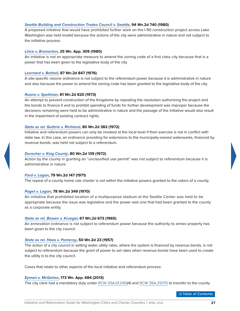#### *[Seattle Building and Construction Trades Council v. Seattle](http://courts.mrsc.org/mc/courts/zsupreme/094wn2d/094wn2d0740.htm)***, 94 Wn.2d 740 (1980)**

A proposed initiative that would have prohibited further work on the I-90 construction project across Lake Washington was held invalid because the actions of the city were administrative in nature and not subject to the initiative process.

#### *[Lince v. Bremerton](http://courts.mrsc.org/mc/courts/zappellate/025wnapp/025wnapp0309.htm)***, 25 Wn. App. 309 (1980)**

An initiative is not an appropriate measure to amend the zoning code of a first class city because that is a power that has been given to the legislative body of the city.

#### *[Leornard v. Bothell](http://courts.mrsc.org/mc/courts/zsupreme/087wn2d/087wn2d0847.htm)***, 87 Wn.2d 847 (1976)**

A site-specific rezone ordinance is not subject to the referendum power because it is administrative in nature and also because the power to amend the zoning code has been granted to the legislative body of the city.

#### *[Ruano v. Spellman](http://courts.mrsc.org/mc/courts/zsupreme/081wn2d/081wn2d0820.htm)***, 81 Wn.2d 820 (1973)**

An attempt to prevent construction of the Kingdome by repealing the resolution authorizing the project and the bonds to finance it and to prohibit spending of funds for further development was improper because the decisions remaining were held to be administrative in nature and the passage of the initiative would also result in the impairment of existing contract rights.

#### *[State ex rel. Guthrie v. Richland](http://courts.mrsc.org/mc/courts/zsupreme/080wn2d/080wn2d0382.htm)***, 80 Wn.2d 382 (1972)**

Initiative and referendum powers can only be invoked at the local level if their exercise is not in conflict with state law. In this case, an ordinance providing for extensions to the municipally-owned waterworks, financed by revenue bonds, was held not subject to a referendum.

#### *[Durocher v. King County](http://courts.mrsc.org/mc/courts/zsupreme/080wn2d/080wn2d0139.htm)***, 80 Wn.2d 139 (1972)**

Action by the county in granting an "unclassified use permit" was not subject to referendum because it is administrative in nature.

#### *[Ford v. Logan](http://courts.mrsc.org/mc/courts/zsupreme/079wn2d/079wn2d0147.htm)***, 79 Wn.2d 147 (1971)**

The repeal of a county home rule charter is not within the initiative powers granted to the voters of a county.

#### *[Paget v. Logan](http://courts.mrsc.org/mc/courts/zsupreme/078wn2d/078wn2d0349.htm)***, 78 Wn.2d 349 (1970)**

An initiative that prohibited location of a multipurpose stadium at the Seattle Center was held to be appropriate because the issue was legislative and the power was one that had been granted to the county as a corporate entity.

#### *[State ex rel. Bowen v. Kruegel](http://courts.mrsc.org/mc/courts/zsupreme/067wn2d/067wn2d0673.htm)***, 67 Wn.2d 673 (1965)**

An annexation ordinance is not subject to referendum power because the authority to annex property has been given to the city council.

#### *[State ex rel. Haas v. Pomeroy](http://courts.mrsc.org/mc/courts/zsupreme/050wn2d/050wn2d0023.htm)***, 50 Wn.2d 23 (1957)**

The action of a city council in setting water utility rates, where the system is financed by revenue bonds, is not subject to referendum because the grant of power to set rates when revenue bonds have been used to create the utility is to the city council.

Cases that relate to other aspects of the local initiative and referendum process:

#### *[Eyman v. McGehee](http://courts.mrsc.org/appellate/173wnapp/173wnapp0684.htm)***, 173 Wn. App. 684 (2013)**

The city clerk had a mandatory duty under [RCW](https://apps.leg.wa.gov/rcw/default.aspx?Cite=35A.01.040) [35A.01.040\(](http://apps.leg.wa.gov/rcw/default.aspx?Cite=35A.01.040)4) and [RCW](https://apps.leg.wa.gov/rcw/default.aspx?Cite=35A.29.170) [35A.29.170](http://apps.leg.wa.gov/rcw/default.aspx?Cite=35A.29.170) to transfer to the county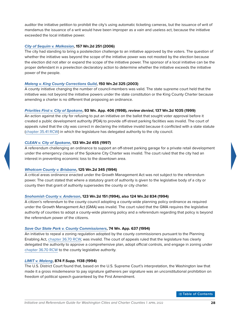auditor the initiative petition to prohibit the city's using automatic ticketing cameras, but the issuance of writ of mandamus the issuance of a writ would have been improper as a vain and useless act, because the initiative exceeded the local initiative power.

#### *[City of Sequim v. Malkasian](http://courts.mrsc.org/mc/courts/zsupreme/157wn2d/157Wn2d0251.htm)***, 157 Wn.2d 251 (2006)**

The city had standing to bring a postelection challenge to an initiative approved by the voters. The question of whether the initiative was beyond the scope of the initiative power was not mooted by the election because the election did not alter or expand the scope of the initiative power. The sponsor of a local initiative can be the proper defendant in a preelection declaratory action to determine whether the initiative exceeds the initiative power of the people.

#### *[Maleng v. King County Corrections Guild](http://courts.mrsc.org/mc/courts/zsupreme/150wn2d/150wn2d0325.htm)***, 150 Wn.2d 325 (2003)**

A county initiative changing the number of council-members was valid. The state supreme court held that the initiative was not beyond the initiative powers under the state constitution or the King County Charter because amending a charter is no different that proposing an ordinance.

#### *[Priorities First v. City of Spokane](http://courts.mrsc.org/mc/courts/zappellate/093wnapp/093wnapp0406.htm)***, 93 Wn. App. 406 (1998),** *review denied***, 137 Wn.2d 1035 (1999)**

An action against the city for refusing to put an initiative on the ballot that sought voter approval before it created a public development authority (PDA) to provide off-street parking facilities was invalid. The court of appeals ruled that the city was correct in declaring the initiative invalid because it conflicted with a state statute [\(chapter](https://apps.leg.wa.gov/rcw/default.aspx?Cite=35.41) [35.41](http://apps.leg.wa.gov/rcw/default.aspx?Cite=35.41) [RCW](https://apps.leg.wa.gov/rcw/default.aspx?Cite=35.41)) in which the legislature has delegated authority to the city council.

#### *[CLEAN v. City of Spokane](http://courts.mrsc.org/mc/courts/zsupreme/133wn2d/133wn2d0455.htm)***, 133 Wn.2d 455 (1997)**

A referendum challenging an ordinance to support an off-street parking garage for a private retail development under the emergency clause of the Spokane City Charter was invalid. The court ruled that the city had an interest in preventing economic loss to the downtown area.

#### *[Whatcom County v. Brisbane](http://courts.mrsc.org/mc/courts/zsupreme/125wn2d/125wn2d0345.htm)***, 125 Wn.2d 345 (1994)**

A critical areas ordinance enacted under the Growth Management Act was not subject to the referendum power. The court stated that where a statutory grant of authority is given to the legislative body of a city or county then that grant of authority supersedes the county or city charter.

#### *[Snohomish County v. Anderson](http://courts.mrsc.org/mc/courts/zsupreme/123wn2d/123wn2d0151.htm)***, 123 Wn.2d 151 (1994), also 124 Wn.2d 834 (1994)**

A citizen's referendum to the county council adopting a county-wide planning policy ordinance as required under the Growth Management Act (GMA) was invalid. The court ruled that the GMA requires the legislative authority of counties to adopt a county-wide planning policy and a referendum regarding that policy is beyond the referendum power of the citizens.

#### *[Save Our State Park v. County Commissioners](http://courts.mrsc.org/mc/courts/zappellate/074wnapp/074wnapp0637.htm)***, 74 Wn. App. 637 (1994)**

An initiative to repeal a zoning regulation adopted by the county commissioners pursuant to the Planning Enabling Act, [chapter](https://apps.leg.wa.gov/rcw/default.aspx?Cite=36.70) [36.70](http://apps.leg.wa.gov/rcw/default.aspx?Cite=36.70) [RCW,](https://apps.leg.wa.gov/rcw/default.aspx?Cite=36.70) was invalid. The court of appeals ruled that the legislature has clearly delegated the authority to approve a comprehensive plan, adopt official controls, and engage in zoning under [chapter](https://apps.leg.wa.gov/rcw/default.aspx?Cite=36.70) [36.70](http://apps.leg.wa.gov/rcw/default.aspx?Cite=36.70) [RCW](https://apps.leg.wa.gov/rcw/default.aspx?Cite=36.70) to the county legislative authority.

#### *[LIMIT v. Maleng](https://law.justia.com/cases/federal/district-courts/FSupp/874/1138/1478116/)***, 874 F.Supp. 1138 (1994)**

The U.S. District Court found that, based on the U.S. Supreme Court's interpretation, the Washington law that made it a gross misdemeanor to pay signature gatherers per signature was an unconstitutional prohibition on freedom of political speech guaranteed by the First Amendment.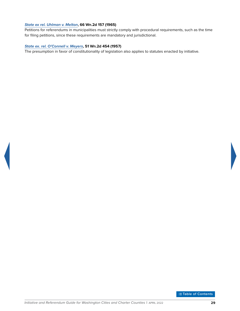#### *[State ex rel. Uhlman v. Melton](http://courts.mrsc.org/mc/courts/zsupreme/066wn2d/066wn2d0157.htm)***, 66 Wn.2d 157 (1965)**

Petitions for referendums in municipalities must strictly comply with procedural requirements, such as the time for filing petitions, since these requirements are mandatory and jurisdictional.

#### *[State ex. rel. O'Connell v. Meyers](http://courts.mrsc.org/mc/courts/zsupreme/051wn2d/051wn2d0454.htm)***, 51 Wn.2d 454 (1957)**

The presumption in favor of constitutionality of legislation also applies to statutes enacted by initiative.

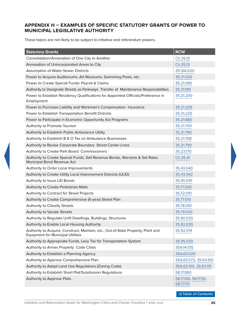# <span id="page-34-1"></span><span id="page-34-0"></span>**APPENDIX H – EXAMPLES OF SPECIFIC STATUTORY GRANTS OF POWER TO MUNICIPAL LEGISLATIVE AUTHORITY**

These topics are not likely to be subject to initiative and referendum powers.

| <b>Statutory Grants</b>                                                                                                       | <b>RCW</b>                         |
|-------------------------------------------------------------------------------------------------------------------------------|------------------------------------|
| Consolidation/Annexation of One City to Another                                                                               | Ch.35.10                           |
| Annexation of Unincorporated Areas to City                                                                                    | Ch.35.13                           |
| Assumption of Water-Sewer Districts                                                                                           | 35.13A.020                         |
| Power to Acquire Auditoriums, Art Museums, Swimming Pools, etc.                                                               | 35.21.020                          |
| Power to Create Special Funds: Payroll & Claims                                                                               | 35.21.085                          |
| Authority to Designate Streets as Parkways Transfer of Maintenance Responsibilities                                           | 35.21.190                          |
| Power to Establish Residency Qualifications for Appointed Officials/Preference in<br>Employment                               | 35.21.200                          |
| Power to Purchase Liability and Workman's Compensation Insurance                                                              | 35.21.209                          |
| Power to Establish Transportation Benefit Districts                                                                           | 35.21.225                          |
| Power to Participate in Economic Opportunity Act Programs                                                                     | 35.21.680                          |
| Authority to Promote Tourism                                                                                                  | 35.21.700                          |
| Authority to Establish Public Ambulance Utility                                                                               | 35.21.766                          |
| Authority to Establish B & O Tax on Ambulance Businesses                                                                      | 35.21.768                          |
| Authority to Revise Corporate Boundary Street Center Lines                                                                    | 35.21.790                          |
| Authority to Create Park Board Commissioners                                                                                  | 35.23.170                          |
| Authority to Create Special Funds, Sell Revenue Bonds, Warrants & Set Rates<br>Municipal Bond Revenue Act                     | Ch.35.41                           |
| Authority to Order Local Improvements                                                                                         | 35.43.040                          |
| Authority to Create Utility Local Improvement Districts (ULID)                                                                | 35.43.042                          |
| Authority to Issue LID Bonds                                                                                                  | 35.45.010                          |
| Authority to Create Pedestrian Malls                                                                                          | 35.71.030                          |
| Authority to Contract for Street Projects                                                                                     | 35.72.010                          |
| Authority to Create Comprehensive (6-year) Street Plan                                                                        | 35.77.010                          |
| Authority to Classify Streets                                                                                                 | 35.78.010                          |
| <b>Authority to Vacate Streets</b>                                                                                            | 35.79.030                          |
| Authority to Regulate Unfit Dwellings, Buildings, Structures                                                                  | 35.80.030                          |
| Authority to Enable Local Housing Authority                                                                                   | 35.82.030                          |
| Authority to Acquire, Construct, Maintain, etc., Out-of-State Property, Plant and<br><b>Equipment for Municipal Utilities</b> | 35.92.014                          |
| Authority to Appropriate Funds, Levy Tax for Transportation System                                                            | 35.95.030                          |
| Authority to Annex Property Code Cities                                                                                       | 35A.14.015                         |
| Authority to Establish a Planning Agency                                                                                      | 35A.63.020                         |
| Authority to Approve Comprehensive Plan                                                                                       | 35A.63.072, 35.63.100              |
| Authority to Adopt Land Use Regulations (Zoning Code)                                                                         | 35A.63.100, 35.63.110              |
| Authority to Establish Short Plat/Subdivision Regulations                                                                     | 58.17.060                          |
| Authority to Approve Plats                                                                                                    | 58.17.100, 58.17.110,<br>58.17.170 |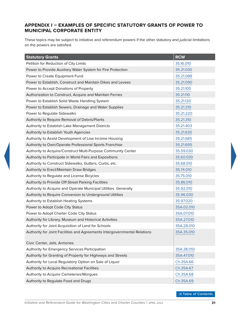# <span id="page-35-1"></span><span id="page-35-0"></span>**APPENDIX I – EXAMPLES OF SPECIFIC STATUTORY GRANTS OF POWER TO MUNICIPAL CORPORATE ENTITY**

These topics may be subject to initiative and referendum powers if the other statutory and judicial limitations on the powers are satisfied.

| <b>Statutory Grants</b>                                                   | <b>RCW</b> |
|---------------------------------------------------------------------------|------------|
| Petition for Reduction of City Limits                                     | 35.16.010  |
| Power to Provide Auxiliary Water System for Fire Protection               | 35.21.030  |
| Power to Create Equipment Fund                                            | 35.21.088  |
| Power to Establish, Construct and Maintain Dikes and Levees               | 35.21.090  |
| Power to Accept Donations of Property                                     | 35.21.100  |
| Authorization to Construct, Acquire and Maintain Ferries                  | 35.21.110  |
| Power to Establish Solid Waste Handling System                            | 35.21.120  |
| Power to Establish Sewers, Drainage and Water Supplies                    | 35.21.210  |
| Power to Regulate Sidewalks                                               | 35.21.220  |
| Authority to Require Removal of Debris/Plants                             | 35.21.310  |
| Authority to Establish Lake Management Districts                          | 35.21.403  |
| Authority to Establish Youth Agencies                                     | 35.21.630  |
| Authority to Assist Development of Low Income Housing                     | 35.21.685  |
| Authority to Own/Operate Professional Sports Franchise                    | 35.21.695  |
| Authority to Acquire/Construct Multi-Purpose Community Center             | 35.59.030  |
| Authority to Participate in World Fairs and Expositions                   | 35.60.030  |
| Authority to Construct Sidewalks, Gutters, Curbs, etc.                    | 35.68.010  |
| Authority to Erect/Maintain Draw Bridges                                  | 35.74.010  |
| Authority to Regulate and License Bicycles                                | 35.75.010  |
| Authority to Provide Off-Street Parking Facilities                        | 35.86.010  |
| Authority to Acquire and Operate Municipal Utilities Generally            | 35.92.010  |
| Authority to Require Conversion to Underground Utilities                  | 35.96.030  |
| Authority to Establish Heating Systems                                    | 35.97.020  |
| Power to Adopt Code City Status                                           | 35A.02.010 |
| Power to Adopt Charter Code City Status                                   | 35A.07.010 |
| Authority for Library, Museum and Historical Activities                   | 35A.27.010 |
| Authority for Joint Acquisition of Land for Schools                       | 35A.28.010 |
| Authority for Joint Facilities and Agreements Intergovernmental Relations | 35A.35.010 |
| Civic Center, Jails, Armories                                             |            |
| Authority for Emergency Services Participation                            | 35A.38.010 |
| Authority for Granting of Property for Highways and Streets               | 35A.47.010 |
| Authority for Local Regulatory Option on Sale of Liquor                   | Ch.35A.66  |
| Authority to Acquire Recreational Facilities                              | Ch.35A.67  |
| Authority to Acquire Cemeteries/Morgues                                   | Ch.35A.68  |
| Authority to Regulate Food and Drugs                                      | Ch.35A.69  |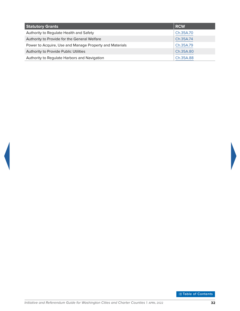| <b>Statutory Grants</b>                                 | <b>RCW</b> |
|---------------------------------------------------------|------------|
| Authority to Regulate Health and Safety                 | Ch.35A.70  |
| Authority to Provide for the General Welfare            | Ch.35A.74  |
| Power to Acquire, Use and Manage Property and Materials | Ch.35A.79  |
| Authority to Provide Public Utilities                   | Ch.35A.80  |
| Authority to Regulate Harbors and Navigation            | Ch.35A.88  |

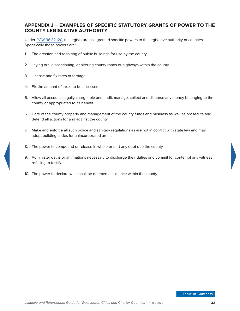## <span id="page-37-1"></span><span id="page-37-0"></span>**APPENDIX J – EXAMPLES OF SPECIFIC STATUTORY GRANTS OF POWER TO THE COUNTY LEGISLATIVE AUTHORITY**

Under [RCW](https://apps.leg.wa.gov/rcw/default.aspx?Cite=36.32.120) [36.32.120,](http://apps.leg.wa.gov/rcw/default.aspx?Cite=36.32.120) the legislature has granted specific powers to the legislative authority of counties. Specifically those powers are:

- 1. The erection and repairing of public buildings for use by the county.
- 2. Laying out, discontinuing, or altering county roads or highways within the county.
- 3. License and fix rates of ferriage.
- 4. Fix the amount of taxes to be assessed.
- 5. Allow all accounts legally chargeable and audit, manage, collect and disburse any money belonging to the county or appropriated to its benefit.
- 6. Care of the county property and management of the county funds and business as well as prosecute and defend all actions for and against the county.
- 7. Make and enforce all such police and sanitary regulations as are not in conflict with state law and may adopt building codes for unincorporated areas.
- 8. The power to compound or release in whole or part any debt due the county.
- 9. Administer oaths or affirmations necessary to discharge their duties and commit for contempt any witness refusing to testify.
- 10. The power to declare what shall be deemed a nuisance within the county.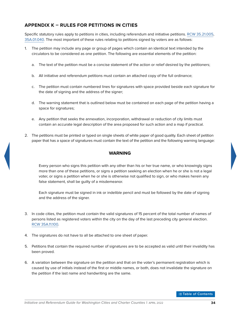# <span id="page-38-1"></span><span id="page-38-0"></span>**APPENDIX K – RULES FOR PETITIONS IN CITIES**

Specific statutory rules apply to petitions in cities, including referendum and initiative petitions. [RCW](https://apps.leg.wa.gov/rcw/default.aspx?Cite=35.21.005) [35.21.005,](http://apps.leg.wa.gov/rcw/default.aspx?Cite=35.21.005) [35A.01.040](http://apps.leg.wa.gov/rcw/default.aspx?Cite=35A.01.040). The most important of these rules relating to petitions signed by voters are as follows:

- 1. The petition may include any page or group of pages which contain an identical text intended by the circulators to be considered as one petition. The following are essential elements of the petition:
	- a. The text of the petition must be a concise statement of the action or relief desired by the petitioners;
	- b. All initiative and referendum petitions must contain an attached copy of the full ordinance;
	- c. The petition must contain numbered lines for signatures with space provided beside each signature for the date of signing and the address of the signer;
	- d. The warning statement that is outlined below must be contained on each page of the petition having a space for signatures;
	- e. Any petition that seeks the annexation, incorporation, withdrawal or reduction of city limits must contain an accurate legal description of the area proposed for such action and a map if practical.
- 2. The petitions must be printed or typed on single sheets of white paper of good quality. Each sheet of petition paper that has a space of signatures must contain the text of the petition and the following warning language:

#### **WARNING**

Every person who signs this petition with any other than his or her true name, or who knowingly signs more than one of these petitions, or signs a petition seeking an election when he or she is not a legal voter, or signs a petition when he or she is otherwise not qualified to sign, or who makes herein any false statement, shall be guilty of a misdemeanor.

Each signature must be signed in ink or indelible pencil and must be followed by the date of signing and the address of the signer.

- 3. In code cities, the petition must contain the valid signatures of 15 percent of the total number of names of persons listed as registered voters within the city on the day of the last preceding city general election. [RCW](https://apps.leg.wa.gov/rcw/default.aspx?Cite=35A.11.100) [35A.11.100](http://apps.leg.wa.gov/rcw/default.aspx?Cite=35A.11.100).
- 4. The signatures do not have to all be attached to one sheet of paper.
- 5. Petitions that contain the required number of signatures are to be accepted as valid until their invalidity has been proved.
- 6. A variation between the signature on the petition and that on the voter's permanent registration which is caused by use of initials instead of the first or middle names, or both, does not invalidate the signature on the petition if the last name and handwriting are the same.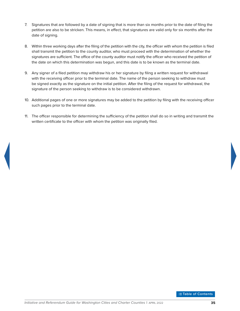- 7. Signatures that are followed by a date of signing that is more than six months prior to the date of filing the petition are also to be stricken. This means, in effect, that signatures are valid only for six months after the date of signing.
- 8. Within three working days after the filing of the petition with the city, the officer with whom the petition is filed shall transmit the petition to the county auditor, who must proceed with the determination of whether the signatures are sufficient. The office of the county auditor must notify the officer who received the petition of the date on which this determination was begun, and this date is to be known as the terminal date.
- 9. Any signer of a filed petition may withdraw his or her signature by filing a written request for withdrawal with the receiving officer prior to the terminal date. The name of the person seeking to withdraw must be signed exactly as the signature on the initial petition. After the filing of the request for withdrawal, the signature of the person seeking to withdraw is to be considered withdrawn.
- 10. Additional pages of one or more signatures may be added to the petition by filing with the receiving officer such pages prior to the terminal date.
- 11. The officer responsible for determining the sufficiency of the petition shall do so in writing and transmit the written certificate to the officer with whom the petition was originally filed.

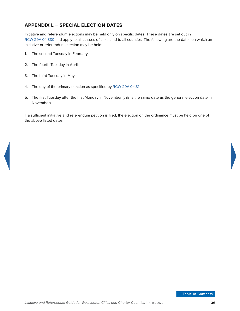# <span id="page-40-1"></span><span id="page-40-0"></span>**APPENDIX L – SPECIAL ELECTION DATES**

Initiative and referendum elections may be held only on specific dates. These dates are set out in [RCW](https://apps.leg.wa.gov/rcw/default.aspx?Cite=29A.04.330) [29A.04.330](http://apps.leg.wa.gov/rcw/default.aspx?Cite=29A.04.330) and apply to all classes of cities and to all counties. The following are the dates on which an initiative or referendum election may be held:

- 1. The second Tuesday in February;
- 2. The fourth Tuesday in April;
- 3. The third Tuesday in May;
- 4. The day of the primary election as specified by [RCW](https://apps.leg.wa.gov/rcw/default.aspx?Cite=29A.04.311) [29A.04.311;](http://apps.leg.wa.gov/rcw/default.aspx?Cite=29A.04.311)
- 5. The first Tuesday after the first Monday in November (this is the same date as the general election date in November).

If a sufficient initiative and referendum petition is filed, the election on the ordinance must be held on one of the above listed dates.

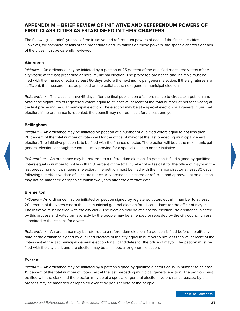## <span id="page-41-1"></span><span id="page-41-0"></span>**APPENDIX M – BRIEF REVIEW OF INITIATIVE AND REFERENDUM POWERS OF FIRST CLASS CITIES AS ESTABLISHED IN THEIR CHARTERS**

The following is a brief synopsis of the initiative and referendum powers of each of the first class cities. However, for complete details of the procedures and limitations on these powers, the specific charters of each of the cities must be carefully reviewed.

#### **Aberdeen**

*Initiative* – An ordinance may be initiated by a petition of 25 percent of the qualified registered voters of the city voting at the last preceding general municipal election. The proposed ordinance and initiative must be filed with the finance director at least 60 days before the next municipal general election. If the signatures are sufficient, the measure must be placed on the ballot at the next general municipal election.

*Referendum* – The citizens have 45 days after the final publication of an ordinance to circulate a petition and obtain the signatures of registered voters equal to at least 25 percent of the total number of persons voting at the last preceding regular municipal election. The election may be at a special election or a general municipal election. If the ordinance is repealed, the council may not reenact it for at least one year.

#### **Bellingham**

*Initiative* – An ordinance may be initiated on petition of a number of qualified voters equal to not less than 20 percent of the total number of votes cast for the office of mayor at the last preceding municipal general election. The initiative petition is to be filed with the finance director. The election will be at the next municipal general election, although the council may provide for a special election on the initiative.

*Referendum* – An ordinance may be referred to a referendum election if a petition is filed signed by qualified voters equal in number to not less than 8 percent of the total number of votes cast for the office of mayor at the last preceding municipal general election. The petition must be filed with the finance director at least 30 days following the effective date of such ordinance. Any ordinance initiated or referred and approved at an election may not be amended or repealed within two years after the effective date.

#### **Bremerton**

*Initiative* – An ordinance may be initiated on petition signed by registered voters equal in number to at least 20 percent of the votes cast at the last municipal general election for all candidates for the office of mayor. The initiative must be filed with the city clerk. The election may be at a special election. No ordinance initiated by this process and voted on favorably by the people may be amended or repealed by the city council unless submitted to the citizens for a vote.

*Referendum* – An ordinance may be referred to a referendum election if a petition is filed before the effective date of the ordinance signed by qualified electors of the city equal in number to not less than 25 percent of the votes cast at the last municipal general election for all candidates for the office of mayor. The petition must be filed with the city clerk and the election may be at a special or general election.

#### **Everett**

*Initiative* – An ordinance may be initiated by a petition signed by qualified electors equal in number to at least 15 percent of the total number of votes cast at the last preceding municipal general election. The petition must be filed with the clerk and the election may be at a special or general election. No ordinance passed by this process may be amended or repealed except by popular vote of the people.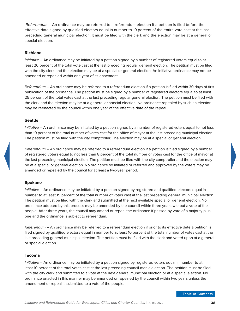*Referendum* – An ordinance may be referred to a referendum election if a petition is filed before the effective date signed by qualified electors equal in number to 10 percent of the entire vote cast at the last preceding general municipal election. It must be filed with the clerk and the election may be at a general or special election.

#### **Richland**

*Initiative* – An ordinance may be initiated by a petition signed by a number of registered voters equal to at least 20 percent of the total vote cast at the last preceding regular general election. The petition must be filed with the city clerk and the election may be at a special or general election. An initiative ordinance may not be amended or repealed within one year of its enactment.

*Referendum* – An ordinance may be referred to a referendum election if a petition is filed within 30 days of first publication of the ordinance. The petition must be signed by a number of registered electors equal to at least 25 percent of the total votes cast at the last preceding regular general election. The petition must be filed with the clerk and the election may be at a general or special election. No ordinance repealed by such an election may be reenacted by the council within one year of the effective date of the repeal.

#### **Seattle**

*Initiative* – An ordinance may be initiated by a petition signed by a number of registered voters equal to not less than 10 percent of the total number of votes cast for the office of mayor at the last preceding municipal election. The petition must be filed with the city comptroller. The election may be at a special or general election.

*Referendum* – An ordinance may be referred to a referendum election if a petition is filed signed by a number of registered voters equal to not less than 8 percent of the total number of votes cast for the office of mayor at the last preceding municipal election. The petition must be filed with the city comptroller and the election may be at a special or general election. No ordinance so initiated or referred and approved by the voters may be amended or repealed by the council for at least a two-year period.

#### **Spokane**

*Initiative* – An ordinance may be initiated by a petition signed by registered and qualified electors equal in number to at least 15 percent of the total number of votes cast at the last preceding general municipal election. The petition must be filed with the clerk and submitted at the next available special or general election. No ordinance adopted by this process may be amended by the council within three years without a vote of the people. After three years, the council may amend or repeal the ordinance if passed by vote of a majority plus one and the ordinance is subject to referendum.

*Referendum* – An ordinance may be referred to a referendum election if prior to its effective date a petition is filed signed by qualified electors equal in number to at least 10 percent of the total number of votes cast at the last preceding general municipal election. The petition must be filed with the clerk and voted upon at a general or special election.

#### **Tacoma**

*Initiative* – An ordinance may be initiated by a petition signed by registered voters equal in number to at least 10 percent of the total votes cast at the last preceding council-manic election. The petition must be filed with the city clerk and submitted to a vote at the next general municipal election or at a special election. No ordinance enacted in this manner may be amended or repealed by the council within two years unless the amendment or repeal is submitted to a vote of the people.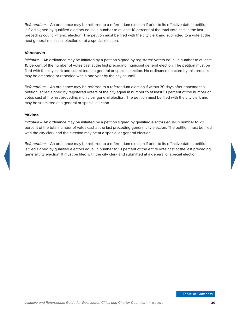*Referendum* – An ordinance may be referred to a referendum election if prior to its effective date a petition is filed signed by qualified electors equal in number to at least 10 percent of the total vote cast in the last preceding council-manic election. The petition must be filed with the city clerk and submitted to a vote at the next general municipal election or at a special election.

#### **Vancouver**

*Initiative* – An ordinance may be initiated by a petition signed by registered voters equal in number to at least 15 percent of the number of votes cast at the last preceding municipal general election. The petition must be filed with the city clerk and submitted at a general or special election. No ordinance enacted by this process may be amended or repealed within one year by the city council.

*Referendum* – An ordinance may be referred to a referendum election if within 30 days after enactment a petition is filed signed by registered voters of the city equal in number to at least 10 percent of the number of votes cast at the last preceding municipal general election. The petition must be filed with the city clerk and may be submitted at a general or special election.

#### **Yakima**

*Initiative* – An ordinance may be initiated by a petition signed by qualified electors equal in number to 20 percent of the total number of votes cast at the last preceding general city election. The petition must be filed with the city clerk and the election may be at a special or general election.

*Referendum* – An ordinance may be referred to a referendum election if prior to its effective date a petition is filed signed by qualified electors equal in number to 10 percent of the entire vote cast at the last preceding general city election. It must be filed with the city clerk and submitted at a general or special election.

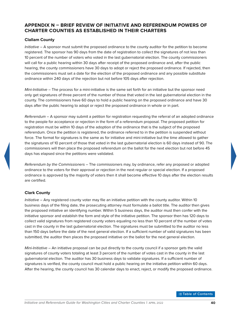# <span id="page-44-1"></span><span id="page-44-0"></span>**APPENDIX N – BRIEF REVIEW OF INITIATIVE AND REFERENDUM POWERS OF CHARTER COUNTIES AS ESTABLISHED IN THEIR CHARTERS**

#### **Clallam County**

*Initiative* – A sponsor must submit the proposed ordinance to the county auditor for the petition to become registered. The sponsor has 90 days from the date of registration to collect the signatures of not less than 10 percent of the number of voters who voted in the last gubernatorial election. The county commissioners will call for a public hearing within 30 days after receipt of the proposed ordinance and, after the public hearing, the county commissioners have 30 days to adopt or reject the proposed ordinance. If rejected, then the commissioners must set a date for the election of the proposed ordinance and any possible substitute ordinance within 240 days of the rejection but not before 105 days after rejection.

*Mini-Initiative* – The process for a mini-initiative is the same set forth for an initiative but the sponsor need only get signatures of three percent of the number of those that voted in the last gubernatorial election in the county. The commissioners have 60 days to hold a public hearing on the proposed ordinance and have 30 days after the public hearing to adopt or reject the proposed ordinance in whole or in part.

*Referendum* – A sponsor may submit a petition for registration requesting the referral of an adopted ordinance to the people for acceptance or rejection in the form of a referendum proposal. The proposed petition for registration must be within 10 days of the adoption of the ordinance that is the subject of the proposed referendum. Once the petition is registered, the ordinance referred to in the petition is suspended without force. The format for signatures is the same as for initiative and mini-initiative but the time allowed to gather the signatures of 10 percent of those that voted in the last gubernatorial election is 60 days instead of 90. The commissioners will then place the proposed referendum on the ballot for the next election but not before 45 days has elapsed since the petitions were validated.

*Referendum by the Commissioners* – The commissioners may, by ordinance, refer any proposed or adopted ordinance to the voters for their approval or rejection in the next regular or special election. If a proposed ordinance is approved by the majority of voters then it shall become effective 10 days after the election results are certified.

#### **Clark County**

*Initiative* – Any registered county voter may file an initiative petition with the county auditor. Within 10 business days of the filing date, the prosecuting attorney must formulate a ballot title. The auditor then gives the proposed initiative an identifying number. Within 5 business days, the auditor must then confer with the initiative sponsor and establish the form and style of the initiative petition. The sponsor then has 120 days to collect valid signatures from registered county voters equaling no less than 10 percent of the number of votes cast in the county in the last gubernatorial election. The signatures must be submitted to the auditor no less than 150 days before the date of the next general election. If a sufficient number of valid signatures has been submitted, the auditor then places the proposed initiative on the ballot for the next general election.

*Mini-Initiative* – An initiative proposal can be put directly to the county council if a sponsor gets the valid signatures of county voters totaling at least 3 percent of the number of votes cast in the county in the last gubernatorial election. The auditor has 30 business days to validate signatures. If a sufficient number of signatures is verified, the county council must hold a public hearing on the initiative petition within 60 days. After the hearing, the county council has 30 calendar days to enact, reject, or modify the proposed ordinance.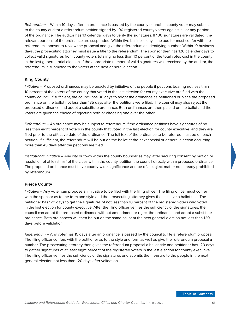*Referendum* – Within 10 days after an ordinance is passed by the county council, a county voter may submit to the county auditor a referendum petition signed by 100 registered county voters against all or any portion of the ordinance. The auditor has 10 calendar days to verify the signatures. If 100 signatures are validated, the relevant portions of the ordinance are suspended. Within five business days, the auditor must confer with the referendum sponsor to review the proposal and give the referendum an identifying number. Within 10 business days, the prosecuting attorney must issue a title to the referendum. The sponsor then has 120 calendar days to collect valid signatures from county voters totaling no less than 10 percent of the total votes cast in the county in the last gubernatorial election. If the appropriate number of valid signatures was received by the auditor, the referendum is submitted to the voters at the next general election.

#### **King County**

*Initiative* – Proposed ordinances may be enacted by initiative of the people if petitions bearing not less than 10 percent of the voters of the county that voted in the last election for county executive are filed with the county council. If sufficient, the council has 90 days to adopt the ordinance as petitioned or place the proposed ordinance on the ballot not less than 135 days after the petitions were filed. The council may also reject the proposed ordinance and adopt a substitute ordinance. Both ordinances are then placed on the ballot and the voters are given the choice of rejecting both or choosing one over the other.

*Referendum* – An ordinance may be subject to referendum if the ordinance petitions have signatures of no less than eight percent of voters in the county that voted in the last election for county executive, and they are filed prior to the effective date of the ordinance. The full text of the ordinance to be referred must be on each petition. If sufficient, the referendum will be put on the ballot at the next special or general election occurring more than 45 days after the petitions are filed.

*Institutional Initiative* – Any city or town within the county boundaries may, after securing consent by motion or resolution of at least half of the cities within the county, petition the council directly with a proposed ordinance. The proposed ordinance must have county-wide significance and be of a subject matter not already prohibited by referendum.

#### **Pierce County**

*Initiative* – Any voter can propose an initiative to be filed with the filing officer. The filing officer must confer with the sponsor as to the form and style and the prosecuting attorney gives the initiative a ballot title. The petitioner has 120 days to get the signatures of not less than 10 percent of the registered voters who voted in the last election for county executive. After the filing officer verifies the sufficiency of the signatures, the council can adopt the proposed ordinance without amendment or reject the ordinance and adopt a substitute ordinance. Both ordinances will then be put on the same ballot at the next general election not less than 120 days before validation.

*Referendum* – Any voter has 15 days after an ordinance is passed by the council to file a referendum proposal. The filing officer confers with the petitioner as to the style and form as well as give the referendum proposal a number. The prosecuting attorney then gives the referendum proposal a ballot title and petitioner has 120 days to gather signatures of at least eight percent of the registered voters in the last election for county executive. The filing officer verifies the sufficiency of the signatures and submits the measure to the people in the next general election not less than 120 days after validation.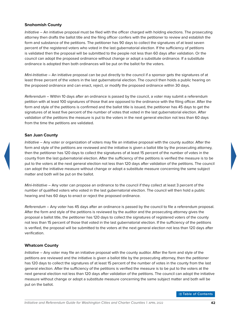#### **Snohomish County**

*Initiative* – An initiative proposal must be filed with the officer charged with holding elections. The prosecuting attorney then drafts the ballot title and the filing officer confers with the petitioner to review and establish the form and substance of the petitions. The petitioner has 90 days to collect the signatures of at least seven percent of the registered voters who voted in the last gubernatorial election. If the sufficiency of petitions is validated then the proposal will be submitted to the people not less than 60 days after validation. Or the council can adopt the proposed ordinance without change or adopt a substitute ordinance. If a substitute ordinance is adopted then both ordinances will be put on the ballot for the voters.

*Mini-Initiative* – An initiative proposal can be put directly to the council if a sponsor gets the signatures of at least three percent of the voters in the last gubernatorial election. The council then holds a public hearing on the proposed ordinance and can enact, reject, or modify the proposed ordinance within 30 days.

*Referendum* – Within 10 days after an ordinance is passed by the council, a voter may submit a referendum petition with at least 100 signatures of those that are opposed to the ordinance with the filing officer. After the form and style of the petitions is confirmed and the ballot title is issued, the petitioner has 45 days to get the signatures of at least five percent of the number of votes that voted in the last gubernatorial election. After validation of the petitions the measure is put to the voters in the next general election not less than 60 days from the time the petitions are validated.

#### **San Juan County**

*Initiative* – Any voter or organization of voters may file an initiative proposal with the county auditor. After the form and style of the petitions are reviewed and the initiative is given a ballot title by the prosecuting attorney, then the petitioner has 120 days to collect the signatures of at least 15 percent of the number of votes in the county from the last gubernatorial election. After the sufficiency of the petitions is verified the measure is to be put to the voters at the next general election not less than 120 days after validation of the petitions. The council can adopt the initiative measure without change or adopt a substitute measure concerning the same subject matter and both will be put on the ballot.

*Mini-Initiative* – Any voter can propose an ordinance to the council if they collect at least 3 percent of the number of qualified voters who voted in the last gubernatorial election. The council will then hold a public hearing and has 60 days to enact or reject the proposed ordinance.

*Referendum* – Any voter has 45 days after an ordinance is passed by the council to file a referendum proposal. After the form and style of the petitions is reviewed by the auditor and the prosecuting attorney gives the proposal a ballot title, the petitioner has 120 days to collect the signatures of registered voters of the county not less than 15 percent of those that voted in the last gubernatorial election. If the sufficiency of the petitions is verified, the proposal will be submitted to the voters at the next general election not less than 120 days after verification.

#### **Whatcom County**

*Initiative* – Any voter may file an initiative proposal with the county auditor. After the form and style of the petitions are reviewed and the initiative is given a ballot title by the prosecuting attorney, then the petitioner has 120 days to collect the signatures of at least 15 percent of the number of votes in the county from the last general election. After the sufficiency of the petitions is verified the measure is to be put to the voters at the next general election not less than 120 days after validation of the petitions. The council can adopt the initiative measure without change or adopt a substitute measure concerning the same subject matter and both will be put on the ballot.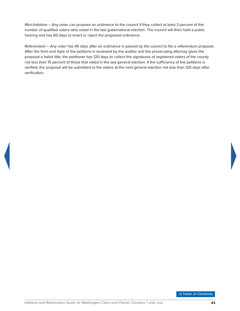*Mini-Initiative* – Any voter can propose an ordinance to the council if they collect at least 3 percent of the number of qualified voters who voted in the last gubernatorial election. The council will then hold a public hearing and has 60 days to enact or reject the proposed ordinance.

*Referendum* – Any voter has 45 days after an ordinance is passed by the council to file a referendum proposal. After the form and style of the petitions is reviewed by the auditor and the prosecuting attorney gives the proposal a ballot title, the petitioner has 120 days to collect the signatures of registered voters of the county not less than 15 percent of those that voted in the last general election. If the sufficiency of the petitions is verified, the proposal will be submitted to the voters at the next general election not less than 120 days after verification.